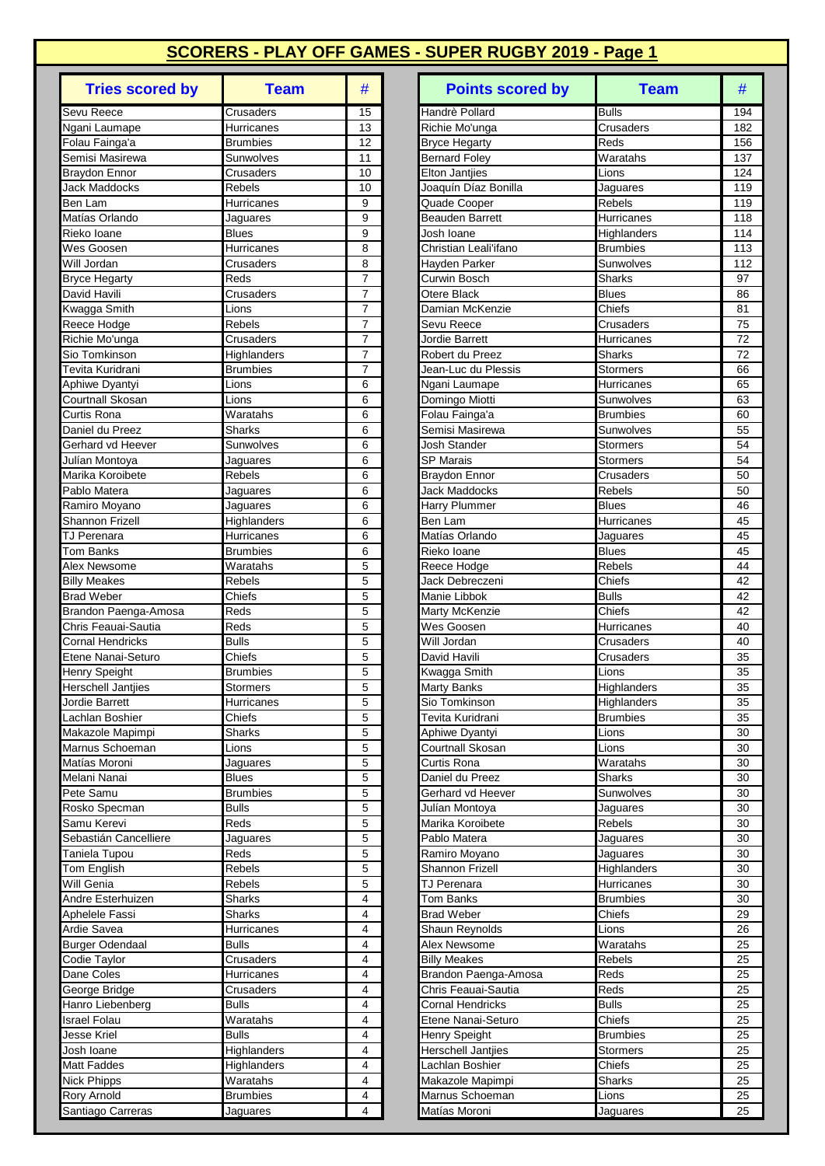| <b>Tries scored by</b>            | <b>Team</b>                 | #                   |
|-----------------------------------|-----------------------------|---------------------|
| Sevu Reece                        | Crusaders                   | 15                  |
| Ngani Laumape                     | Hurricanes                  | 13                  |
| Folau Fainga'a                    | <b>Brumbies</b>             | 12                  |
| Semisi Masirewa                   | Sunwolves                   | 11                  |
| <b>Braydon Ennor</b>              | Crusaders                   | 10<br>10            |
| <b>Jack Maddocks</b><br>Ben Lam   | Rebels<br>Hurricanes        | 9                   |
| Matías Orlando                    | Jaguares                    | 9                   |
| Rieko Ioane                       | <b>Blues</b>                | 9                   |
| Wes Goosen                        | Hurricanes                  | 8                   |
| Will Jordan                       | Crusaders                   | 8                   |
| <b>Bryce Hegarty</b>              | Reds                        | 7                   |
| David Havili                      | Crusaders                   | $\overline{7}$      |
| Kwagga Smith                      | Lions                       | 7                   |
| Reece Hodge                       | Rebels                      | 7<br>$\overline{7}$ |
| Richie Mo'unga<br>Sio Tomkinson   | Crusaders<br>Highlanders    | 7                   |
| Tevita Kuridrani                  | <b>Brumbies</b>             | 7                   |
| Aphiwe Dyantyi                    | Lions                       | 6                   |
| Courtnall Skosan                  | Lions                       | 6                   |
| Curtis Rona                       | Waratahs                    | 6                   |
| Daniel du Preez                   | Sharks                      | 6                   |
| Gerhard vd Heever                 | Sunwolves                   | 6                   |
| Julían Montoya                    | Jaguares                    | 6                   |
| Marika Koroibete                  | <b>Rebels</b>               | 6                   |
| Pablo Matera                      | Jaguares                    | 6                   |
| Ramiro Moyano<br>Shannon Frizell  | Jaguares<br>Highlanders     | 6<br>6              |
| <b>TJ Perenara</b>                | Hurricanes                  | 6                   |
| Tom Banks                         | <b>Brumbies</b>             | 6                   |
| Alex Newsome                      | Waratahs                    | 5                   |
| <b>Billy Meakes</b>               | Rebels                      | 5                   |
| <b>Brad Weber</b>                 | Chiefs                      | 5                   |
| Brandon Paenga-Amosa              | Reds                        | 5                   |
| Chris Feauai-Sautia               | Reds                        | 5                   |
| <b>Cornal Hendricks</b>           | <b>Bulls</b>                | 5                   |
| Etene Nanai-Seturo                | Chiefs                      | 5                   |
| Henry Speight                     | <b>Brumbies</b>             | 5                   |
| Herschell Jantjies                | Stormers                    | 5<br>5              |
| Jordie Barrett<br>Lachlan Boshier | Hurricanes<br>Chiefs        | 5                   |
| Makazole Mapimpi                  | Sharks                      | 5                   |
| Marnus Schoeman                   | Lions                       | 5                   |
| Matías Moroni                     | Jaguares                    | 5                   |
| Melani Nanai                      | <b>Blues</b>                | 5                   |
| Pete Samu                         | Brumbies                    | 5                   |
| Rosko Specman                     | <b>Bulls</b>                | 5                   |
| Samu Kerevi                       | Reds                        | 5                   |
| Sebastián Cancelliere             | Jaguares                    | 5                   |
| Taniela Tupou                     | Reds                        | 5                   |
| Tom English                       | Rebels                      | 5                   |
| Will Genia<br>Andre Esterhuizen   | <b>Rebels</b><br>Sharks     | 5<br>4              |
| Aphelele Fassi                    | Sharks                      | 4                   |
| Ardie Savea                       | Hurricanes                  | 4                   |
| <b>Burger Odendaal</b>            | <b>Bulls</b>                | 4                   |
| Codie Taylor                      | Crusaders                   | $\overline{4}$      |
| Dane Coles                        | Hurricanes                  | 4                   |
| George Bridge                     | Crusaders                   | 4                   |
| Hanro Liebenberg                  | <b>Bulls</b>                | 4                   |
| <b>Israel Folau</b>               | Waratahs                    | 4                   |
| Jesse Kriel                       | <b>Bulls</b>                | 4                   |
| Josh Ioane                        | Highlanders                 | 4                   |
| Matt Faddes                       | <b>Highlanders</b>          | 4                   |
| <b>Nick Phipps</b><br>Rory Arnold | Waratahs<br><b>Brumbies</b> | 4<br>4              |
| Santiago Carreras                 | Jaguares                    | 4                   |
|                                   |                             |                     |

| <b>Tries scored by</b>                      | <b>Team</b>                | #              | <b>Points scored by</b>                      | <b>Team</b>                  | #          |
|---------------------------------------------|----------------------------|----------------|----------------------------------------------|------------------------------|------------|
| Sevu Reece                                  | Crusaders                  | 15             | Handrè Pollard                               | <b>Bulls</b>                 | 194        |
| Ngani Laumape                               | Hurricanes                 | 13             | Richie Mo'unga                               | Crusaders                    | 182        |
| Folau Fainga'a                              | <b>Brumbies</b>            | 12             | <b>Bryce Hegarty</b>                         | Reds                         | 156        |
| Semisi Masirewa                             | Sunwolves                  | 11             | <b>Bernard Foley</b>                         | $\overline{W}$ aratahs       | 137        |
| Braydon Ennor                               | Crusaders                  | 10             | <b>Elton Jantjies</b>                        | Lions                        | 124        |
| <b>Jack Maddocks</b>                        | Rebels                     | 10             | Joaquín Díaz Bonilla                         | Jaguares                     | 119        |
| Ben Lam<br>Matías Orlando                   | Hurricanes                 | 9<br>9         | Quade Cooper<br><b>Beauden Barrett</b>       | Rebels<br>Hurricanes         | 119<br>118 |
| Rieko Ioane                                 | Jaguares<br><b>Blues</b>   | 9              | Josh Ioane                                   | Highlanders                  | 114        |
| Wes Goosen                                  | Hurricanes                 | 8              | Christian Leali'ifano                        | <b>Brumbies</b>              | 113        |
| Will Jordan                                 | Crusaders                  | 8              | Hayden Parker                                | Sunwolves                    | 112        |
| Bryce Hegarty                               | Reds                       | $\overline{7}$ | Curwin Bosch                                 | <b>Sharks</b>                | 97         |
| David Havili                                | Crusaders                  | $\overline{7}$ | Otere Black                                  | <b>Blues</b>                 | 86         |
| Kwagga Smith                                | Lions                      | $\overline{7}$ | Damian McKenzie                              | Chiefs                       | 81         |
| Reece Hodge                                 | Rebels                     | 7              | Sevu Reece                                   | Crusaders                    | 75         |
| Richie Mo'unga                              | Crusaders                  | $\overline{7}$ | Jordie Barrett                               | Hurricanes                   | 72         |
| Sio Tomkinson                               | Highlanders                | $\overline{7}$ | Robert du Preez                              | Sharks                       | 72         |
| Tevita Kuridrani                            | <b>Brumbies</b>            | $\overline{7}$ | Jean-Luc du Plessis                          | Stormers                     | 66         |
| Aphiwe Dyantyi                              | Lions                      | 6              | Ngani Laumape                                | Hurricanes                   | 65         |
| Courtnall Skosan<br>Curtis Rona             | Lions                      | 6              | Domingo Miotti                               | Sunwolves                    | 63         |
| Daniel du Preez                             | Waratahs<br>Sharks         | 6<br>6         | Folau Fainga'a<br>Semisi Masirewa            | <b>Brumbies</b><br>Sunwolves | 60<br>55   |
| Gerhard vd Heever                           | Sunwolves                  | 6              | <b>Josh Stander</b>                          | <b>Stormers</b>              | 54         |
| Julían Montoya                              | Jaguares                   | 6              | <b>SP Marais</b>                             | <b>Stormers</b>              | 54         |
| Marika Koroibete                            | <b>Rebels</b>              | 6              | <b>Braydon Ennor</b>                         | Crusaders                    | 50         |
| Pablo Matera                                | Jaguares                   | 6              | <b>Jack Maddocks</b>                         | Rebels                       | 50         |
| Ramiro Moyano                               | Jaguares                   | 6              | Harry Plummer                                | <b>Blues</b>                 | 46         |
| <b>Shannon Frizell</b>                      | Highlanders                | 6              | Ben Lam                                      | Hurricanes                   | 45         |
| <b>TJ Perenara</b>                          | Hurricanes                 | 6              | Matías Orlando                               | Jaguares                     | 45         |
| Tom Banks                                   | <b>Brumbies</b>            | 6              | Rieko Ioane                                  | <b>Blues</b>                 | 45         |
| Alex Newsome                                | Waratahs                   | 5              | Reece Hodge                                  | <b>Rebels</b>                | 44         |
| <b>Billy Meakes</b>                         | Rebels                     | 5              | Jack Debreczeni                              | Chiefs                       | 42         |
| <b>Brad Weber</b>                           | Chiefs                     | 5              | Manie Libbok                                 | <b>Bulls</b>                 | 42         |
| Brandon Paenga-Amosa<br>Chris Feauai-Sautia | Reds<br>Reds               | 5<br>5         | <b>Marty McKenzie</b><br>Wes Goosen          | Chiefs<br>Hurricanes         | 42<br>40   |
| <b>Cornal Hendricks</b>                     | <b>Bulls</b>               | 5              | Will Jordan                                  | Crusaders                    | 40         |
| Etene Nanai-Seturo                          | Chiefs                     | 5              | David Havili                                 | Crusaders                    | 35         |
| Henry Speight                               | Brumbies                   | 5              | Kwagga Smith                                 | Lions                        | 35         |
| Herschell Jantjies                          | Stormers                   | 5              | Marty Banks                                  | Highlanders                  | 35         |
| Jordie Barrett                              | Hurricanes                 | $\overline{5}$ | Sio Tomkinson                                | Highlanders                  | 35         |
| Lachlan Boshier                             | Chiefs                     | 5              | Tevita Kuridrani                             | <b>Brumbies</b>              | 35         |
| Makazole Mapimpi                            | Sharks                     | 5              | Aphiwe Dyantyi                               | Lions                        | 30         |
| Marnus Schoeman                             | Lions                      | 5              | Courtnall Skosan                             | Lions                        | 30         |
| Matías Moroni                               | Jaguares                   | 5              | Curtis Rona                                  | Waratahs                     | 30         |
| Melani Nanai                                | <b>Blues</b>               | 5              | Daniel du Preez                              | Sharks                       | 30         |
| Pete Samu                                   | Brumbies                   | 5              | Gerhard vd Heever                            | Sunwolves                    | 30         |
| Rosko Specman                               | <b>Bulls</b>               | 5              | Julían Montoya                               | Jaguares                     | 30         |
| Samu Kerevi<br>Sebastián Cancelliere        | Reds<br>Jaguares           | 5<br>5         | Marika Koroibete<br>Pablo Matera             | <b>Rebels</b><br>Jaguares    | 30<br>30   |
| Taniela Tupou                               | Reds                       | 5              | Ramiro Moyano                                | Jaguares                     | 30         |
| Tom English                                 | Rebels                     | 5              | Shannon Frizell                              | Highlanders                  | 30         |
| Will Genia                                  | Rebels                     | 5              | TJ Perenara                                  | Hurricanes                   | 30         |
| Andre Esterhuizen                           | Sharks                     | 4              | <b>Tom Banks</b>                             | <b>Brumbies</b>              | 30         |
| Aphelele Fassi                              | Sharks                     | 4              | <b>Brad Weber</b>                            | Chiefs                       | 29         |
| Ardie Savea                                 | Hurricanes                 | 4              | Shaun Reynolds                               | Lions                        | 26         |
| <b>Burger Odendaal</b>                      | <b>Bulls</b>               | 4              | Alex Newsome                                 | Waratahs                     | 25         |
| Codie Taylor                                | Crusaders                  | 4              | <b>Billy Meakes</b>                          | Rebels                       | 25         |
| Dane Coles                                  | Hurricanes                 | 4              | Brandon Paenga-Amosa                         | Reds                         | 25         |
| George Bridge                               | Crusaders                  | 4              | Chris Feauai-Sautia                          | Reds                         | 25         |
| Hanro Liebenberg                            | Bulls                      | 4              | <b>Cornal Hendricks</b>                      | <b>Bulls</b>                 | 25         |
| <b>Israel Folau</b>                         | Waratahs                   | 4              | Etene Nanai-Seturo                           | Chiefs                       | 25         |
| Jesse Kriel                                 | <b>Bulls</b>               | 4<br>4         | Henry Speight                                | <b>Brumbies</b>              | 25         |
| Josh Ioane<br>Matt Faddes                   | Highlanders<br>Highlanders | 4              | <b>Herschell Jantiies</b><br>Lachlan Boshier | Stormers<br>Chiefs           | 25<br>25   |
| <b>Nick Phipps</b>                          | Waratahs                   | 4              | Makazole Mapimpi                             | Sharks                       | 25         |
| <b>Rory Arnold</b>                          | <b>Brumbies</b>            | 4              | Marnus Schoeman                              | Lions                        | 25         |
| Santiago Carreras                           | Jaguares                   | 4              | Matías Moroni                                | Jaguares                     | 25         |
|                                             |                            |                |                                              |                              |            |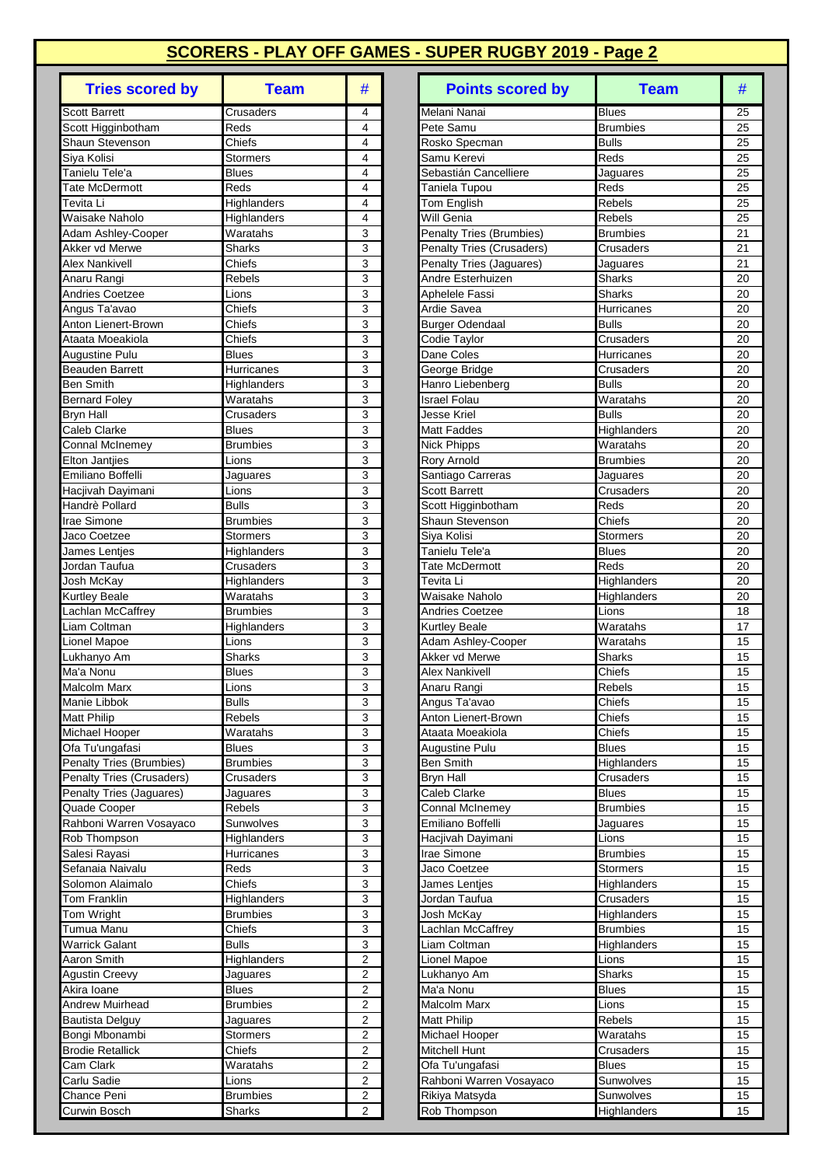| <b>Tries scored by</b>                          | <b>Team</b>                | #                                         |
|-------------------------------------------------|----------------------------|-------------------------------------------|
| <b>Scott Barrett</b>                            | Crusaders                  | 4                                         |
| Scott Higginbotham                              | Reds                       | 4                                         |
| Shaun Stevenson                                 | Chiefs                     | 4                                         |
| Siya Kolisi                                     | <b>Stormers</b>            | 4                                         |
| Tanielu Tele'a                                  | <b>Blues</b>               | 4                                         |
| Tate McDermott<br>Tevita Li                     | Reds<br>Highlanders        | 4<br>4                                    |
| Waisake Naholo                                  | Highlanders                | 4                                         |
| Adam Ashley-Cooper                              | Waratahs                   | 3                                         |
| Akker vd Merwe                                  | Sharks                     | 3                                         |
| <b>Alex Nankivell</b>                           | Chiefs                     | $\overline{3}$                            |
| Anaru Rangi                                     | Rebels                     | 3                                         |
| <b>Andries Coetzee</b>                          | Lions                      | 3                                         |
| Angus Ta'avao                                   | Chiefs                     | 3                                         |
| Anton Lienert-Brown                             | Chiefs                     | 3                                         |
| Ataata Moeakiola                                | Chiefs                     | 3                                         |
| <b>Augustine Pulu</b><br><b>Beauden Barrett</b> | <b>Blues</b><br>Hurricanes | 3<br>3                                    |
| <b>Ben Smith</b>                                | Highlanders                | 3                                         |
| <b>Bernard Foley</b>                            | Waratahs                   | 3                                         |
| <b>Bryn Hall</b>                                | Crusaders                  | 3                                         |
| <b>Caleb Clarke</b>                             | <b>Blues</b>               | 3                                         |
| Connal McInemey                                 | <b>Brumbies</b>            | 3                                         |
| <b>Elton Jantjies</b>                           | Lions                      | 3                                         |
| Emiliano Boffelli                               | Jaguares                   | 3                                         |
| Hacjivah Dayimani                               | Lions                      | 3                                         |
| Handrè Pollard                                  | <b>Bulls</b>               | 3                                         |
| <b>Irae Simone</b>                              | <b>Brumbies</b>            | 3                                         |
| Jaco Coetzee<br>James Lentjes                   | Stormers<br>Highlanders    | 3<br>3                                    |
| Jordan Taufua                                   | Crusaders                  | 3                                         |
| Josh McKay                                      | Highlanders                | 3                                         |
| <b>Kurtley Beale</b>                            | Waratahs                   | 3                                         |
| Lachlan McCaffrey                               | <b>Brumbies</b>            | 3                                         |
| Liam Coltman                                    | Highlanders                | 3                                         |
| Lionel Mapoe                                    | Lions                      | 3                                         |
| Lukhanyo Am                                     | <b>Sharks</b>              | 3                                         |
| Ma'a Nonu                                       | <b>Blues</b>               | 3                                         |
| Malcolm Marx                                    | Lions                      | 3                                         |
| Manie Libbok                                    | Bulls                      | 3                                         |
| Matt Philip<br>Michael Hooper                   | Rebels<br>Waratahs         | 3<br>3                                    |
| Ofa Tu'ungafasi                                 | <b>Blues</b>               | 3                                         |
| Penalty Tries (Brumbies)                        | <b>Brumbies</b>            | $\overline{3}$                            |
| Penalty Tries (Crusaders)                       | Crusaders                  | 3                                         |
| Penalty Tries (Jaguares)                        | Jaguares                   | 3                                         |
| Quade Cooper                                    | Rebels                     | 3                                         |
| Rahboni Warren Vosayaco                         | Sunwolves                  | 3                                         |
| Rob Thompson                                    | Highlanders                | 3                                         |
| Salesi Rayasi                                   | Hurricanes                 | $\overline{3}$                            |
| Sefanaia Naivalu                                | Reds                       | 3                                         |
| Solomon Alaimalo                                | Chiefs                     | 3                                         |
| Tom Franklin                                    | Highlanders<br>Brumbies    | 3<br>3                                    |
| Tom Wright<br>Tumua Manu                        | Chiefs                     | $\overline{3}$                            |
| <b>Warrick Galant</b>                           | <b>Bulls</b>               | 3                                         |
| <b>Aaron Smith</b>                              | Highlanders                | $\overline{2}$                            |
| <b>Agustin Creevy</b>                           | Jaguares                   | 2                                         |
| Akira Ioane                                     | <b>Blues</b>               | 2                                         |
| Andrew Muirhead                                 | <b>Brumbies</b>            | $\overline{\mathbf{c}}$                   |
| <b>Bautista Delguy</b>                          | Jaguares                   | $\overline{c}$                            |
| Bongi Mbonambi                                  | Stormers                   | $\overline{\mathbf{c}}$                   |
| <b>Brodie Retallick</b>                         | Chiefs                     | 2                                         |
| Cam Clark                                       | Waratahs                   | 2                                         |
| Carlu Sadie<br>Chance Peni                      | Lions                      | $\overline{\mathbf{c}}$<br>$\overline{c}$ |
| Curwin Bosch                                    | <b>Brumbies</b><br>Sharks  | 2                                         |
|                                                 |                            |                                           |

| <b>Blues</b><br>25<br>Crusaders<br>4<br>Melani Nanai<br>Reds<br>4<br>Pete Samu<br><b>Brumbies</b><br>25<br>Chiefs<br>4<br><b>Bulls</b><br>25<br>Rosko Specman<br>Siya Kolisi<br>4<br>Samu Kerevi<br>Reds<br>Stormers<br>25<br>Tanielu Tele'a<br><b>Blues</b><br>4<br>Sebastián Cancelliere<br>25<br>Jaguares<br>Reds<br>$\overline{4}$<br>Reds<br>25<br>Tate McDermott<br>Taniela Tupou<br>Tevita Li<br>4<br>Tom English<br>Rebels<br>25<br>Highlanders<br>Waisake Naholo<br>Will Genia<br>Rebels<br>Highlanders<br>4<br>25<br>Waratahs<br>3<br>21<br>Adam Ashley-Cooper<br><b>Penalty Tries (Brumbies)</b><br>Brumbies<br>3<br>Akker vd Merwe<br><b>Sharks</b><br>21<br><b>Penalty Tries (Crusaders)</b><br>Crusaders<br>3<br><b>Alex Nankivell</b><br>Chiefs<br>Penalty Tries (Jaguares)<br>21<br>Jaguares<br>Rebels<br>3<br>Andre Esterhuizen<br>Sharks<br>20<br>3<br>Lions<br>Aphelele Fassi<br><b>Sharks</b><br>20<br>3<br>Chiefs<br>Ardie Savea<br>Hurricanes<br>20<br>3<br>Chiefs<br><b>Bulls</b><br><b>Burger Odendaal</b><br>20<br>Chiefs<br>3<br>Ataata Moeakiola<br>20<br>Codie Taylor<br>Crusaders<br><b>Blues</b><br>3<br>Dane Coles<br>20<br>Augustine Pulu<br>Hurricanes<br><b>Beauden Barrett</b><br>3<br>George Bridge<br>20<br>Hurricanes<br>Crusaders<br>Ben Smith<br>3<br><b>Bulls</b><br>Highlanders<br>Hanro Liebenberg<br>20<br>3<br>Israel Folau<br>Waratahs<br>20<br><b>Bernard Foley</b><br>Waratahs<br>3<br><b>Bulls</b><br><b>Bryn Hall</b><br>Crusaders<br>Jesse Kriel<br>20<br>Caleb Clarke<br>3<br><b>Blues</b><br><b>Matt Faddes</b><br>Highlanders<br>20<br>Connal McInemey<br><b>Brumbies</b><br>3<br>Waratahs<br>20<br><b>Nick Phipps</b><br>Elton Jantjies<br>3<br>Rory Arnold<br><b>Brumbies</b><br>20<br>Lions<br>3<br>Santiago Carreras<br>Jaguares<br>Jaquares<br>20<br>3<br>Scott Barrett<br>Crusaders<br>20<br>Lions<br><b>Bulls</b><br>3<br>Reds<br>Scott Higginbotham<br>20<br>3<br><b>Brumbies</b><br>Shaun Stevenson<br>Chiefs<br>20<br>Stormers<br>3<br>Siya Kolisi<br>20<br>Stormers<br>3<br>Tanielu Tele'a<br><b>Blues</b><br>Highlanders<br>20<br>3<br>20<br>Jordan Taufua<br>Crusaders<br>Tate McDermott<br>Reds<br>3<br>Josh McKay<br>Highlanders<br>Tevita Li<br>Highlanders<br>20<br>3<br>Waratahs<br>Kurtley Beale<br>Waisake Naholo<br>Highlanders<br>20<br>3<br>Lachlan McCaffrey<br><b>Brumbies</b><br><b>Andries Coetzee</b><br>Lions<br>18<br>Liam Coltman<br>3<br><b>Kurtley Beale</b><br>Waratahs<br>17<br>Highlanders<br>Lionel Mapoe<br>3<br>Waratahs<br>Lions<br>Adam Ashley-Cooper<br>15<br>3<br><b>Sharks</b><br>Sharks<br>Lukhanyo Am<br>Akker vd Merwe<br>15<br>3<br>Ma'a Nonu<br>Chiefs<br><b>Blues</b><br><b>Alex Nankivell</b><br>15<br>3<br><b>Rebels</b><br>15<br>Lions<br>Anaru Rangi<br><b>Bulls</b><br>3<br>15<br>Chiefs<br>Angus Ta'avao<br>Rebels<br>3<br>Chiefs<br>15<br>Anton Lienert-Brown<br>3<br>Chiefs<br>Waratahs<br>Ataata Moeakiola<br>15<br>3<br>Ofa Tu'ungafasi<br><b>Blues</b><br><b>Augustine Pulu</b><br>Blues<br>15<br><b>Penalty Tries (Brumbies)</b><br>3<br><b>Brumbies</b><br><b>Ben Smith</b><br>Highlanders<br>15<br>3<br><b>Penalty Tries (Crusaders)</b><br>15<br>Crusaders<br><b>Bryn Hall</b><br>Crusaders<br>Penalty Tries (Jaguares)<br>3<br>Caleb Clarke<br><b>Blues</b><br>Jaguares<br>15<br>Quade Cooper<br>Rebels<br><b>Brumbies</b><br>3<br><b>Connal McInemev</b><br>15<br>Rahboni Warren Vosayaco<br>3<br>Emiliano Boffelli<br>Sunwolves<br>15<br>Jaguares<br>3<br>15<br>Rob Thompson<br>Highlanders<br>Hacjivah Dayimani<br>Lions<br>3<br>Irae Simone<br>Salesi Rayasi<br>Hurricanes<br>Brumbies<br>15<br>Reds<br>3<br>Jaco Coetzee<br>Stormers<br>15<br>3<br>Chiefs<br>15<br>James Lentjes<br>Highlanders<br>3<br>Highlanders<br>Jordan Taufua<br>Crusaders<br>15<br>3<br>Brumbies<br>Josh McKay<br>Highlanders<br>15<br>3<br>Chiefs<br>Lachlan McCaffrey<br><b>Brumbies</b><br>15<br><b>Bulls</b><br>3<br>Liam Coltman<br>15<br>Highlanders<br>2<br>Highlanders<br>Lionel Mapoe<br>Lions<br>15<br><b>Agustin Creevy</b><br>2<br>Lukhanyo Am<br>Sharks<br>15<br>Jaguares<br>2<br>Akira Ioane<br><b>Blues</b><br>Ma'a Nonu<br><b>Blues</b><br>15<br>2<br><b>Andrew Muirhead</b><br><b>Brumbies</b><br>Malcolm Marx<br>Lions<br>15<br>$\boldsymbol{2}$<br>Bautista Delguy<br><b>Matt Philip</b><br>Rebels<br>15<br>Jaguares<br>2<br>Michael Hooper<br>Bongi Mbonambi<br><b>Stormers</b><br>Waratahs<br>15<br><b>Brodie Retallick</b><br>2<br>Mitchell Hunt<br>Chiefs<br>Crusaders<br>15<br>Ofa Tu'ungafasi<br>Cam Clark<br>Waratahs<br>2<br>Blues<br>15<br>2<br>Rahboni Warren Vosayaco<br>Carlu Sadie<br>Sunwolves<br>15<br>Lions<br>$\overline{\mathbf{c}}$<br><b>Brumbies</b><br>Rikiya Matsyda<br>15<br>Sunwolves<br>$\overline{2}$<br>Rob Thompson<br>15<br>Sharks<br>Highlanders | <b>Tries scored by</b> | <b>Team</b> | # | <b>Points scored by</b> | <b>Team</b> | # |
|---------------------------------------------------------------------------------------------------------------------------------------------------------------------------------------------------------------------------------------------------------------------------------------------------------------------------------------------------------------------------------------------------------------------------------------------------------------------------------------------------------------------------------------------------------------------------------------------------------------------------------------------------------------------------------------------------------------------------------------------------------------------------------------------------------------------------------------------------------------------------------------------------------------------------------------------------------------------------------------------------------------------------------------------------------------------------------------------------------------------------------------------------------------------------------------------------------------------------------------------------------------------------------------------------------------------------------------------------------------------------------------------------------------------------------------------------------------------------------------------------------------------------------------------------------------------------------------------------------------------------------------------------------------------------------------------------------------------------------------------------------------------------------------------------------------------------------------------------------------------------------------------------------------------------------------------------------------------------------------------------------------------------------------------------------------------------------------------------------------------------------------------------------------------------------------------------------------------------------------------------------------------------------------------------------------------------------------------------------------------------------------------------------------------------------------------------------------------------------------------------------------------------------------------------------------------------------------------------------------------------------------------------------------------------------------------------------------------------------------------------------------------------------------------------------------------------------------------------------------------------------------------------------------------------------------------------------------------------------------------------------------------------------------------------------------------------------------------------------------------------------------------------------------------------------------------------------------------------------------------------------------------------------------------------------------------------------------------------------------------------------------------------------------------------------------------------------------------------------------------------------------------------------------------------------------------------------------------------------------------------------------------------------------------------------------------------------------------------------------------------------------------------------------------------------------------------------------------------------------------------------------------------------------------------------------------------------------------------------------------------------------------------------------------------------------------------------------------------------------------------------------------------------------------------------------------------------------------------------------------------------------------------------------------------------------------------------------------------------------------------------------------------------------------------------------------------------------------------------------------------------------------------------------------------------------------------------------------------------------------------------------------------------------------------------------------------------------------------------------------------------------------------------------------------------|------------------------|-------------|---|-------------------------|-------------|---|
|                                                                                                                                                                                                                                                                                                                                                                                                                                                                                                                                                                                                                                                                                                                                                                                                                                                                                                                                                                                                                                                                                                                                                                                                                                                                                                                                                                                                                                                                                                                                                                                                                                                                                                                                                                                                                                                                                                                                                                                                                                                                                                                                                                                                                                                                                                                                                                                                                                                                                                                                                                                                                                                                                                                                                                                                                                                                                                                                                                                                                                                                                                                                                                                                                                                                                                                                                                                                                                                                                                                                                                                                                                                                                                                                                                                                                                                                                                                                                                                                                                                                                                                                                                                                                                                                                                                                                                                                                                                                                                                                                                                                                                                                                                                                                                                                         | <b>Scott Barrett</b>   |             |   |                         |             |   |
|                                                                                                                                                                                                                                                                                                                                                                                                                                                                                                                                                                                                                                                                                                                                                                                                                                                                                                                                                                                                                                                                                                                                                                                                                                                                                                                                                                                                                                                                                                                                                                                                                                                                                                                                                                                                                                                                                                                                                                                                                                                                                                                                                                                                                                                                                                                                                                                                                                                                                                                                                                                                                                                                                                                                                                                                                                                                                                                                                                                                                                                                                                                                                                                                                                                                                                                                                                                                                                                                                                                                                                                                                                                                                                                                                                                                                                                                                                                                                                                                                                                                                                                                                                                                                                                                                                                                                                                                                                                                                                                                                                                                                                                                                                                                                                                                         | Scott Higginbotham     |             |   |                         |             |   |
|                                                                                                                                                                                                                                                                                                                                                                                                                                                                                                                                                                                                                                                                                                                                                                                                                                                                                                                                                                                                                                                                                                                                                                                                                                                                                                                                                                                                                                                                                                                                                                                                                                                                                                                                                                                                                                                                                                                                                                                                                                                                                                                                                                                                                                                                                                                                                                                                                                                                                                                                                                                                                                                                                                                                                                                                                                                                                                                                                                                                                                                                                                                                                                                                                                                                                                                                                                                                                                                                                                                                                                                                                                                                                                                                                                                                                                                                                                                                                                                                                                                                                                                                                                                                                                                                                                                                                                                                                                                                                                                                                                                                                                                                                                                                                                                                         | Shaun Stevenson        |             |   |                         |             |   |
|                                                                                                                                                                                                                                                                                                                                                                                                                                                                                                                                                                                                                                                                                                                                                                                                                                                                                                                                                                                                                                                                                                                                                                                                                                                                                                                                                                                                                                                                                                                                                                                                                                                                                                                                                                                                                                                                                                                                                                                                                                                                                                                                                                                                                                                                                                                                                                                                                                                                                                                                                                                                                                                                                                                                                                                                                                                                                                                                                                                                                                                                                                                                                                                                                                                                                                                                                                                                                                                                                                                                                                                                                                                                                                                                                                                                                                                                                                                                                                                                                                                                                                                                                                                                                                                                                                                                                                                                                                                                                                                                                                                                                                                                                                                                                                                                         |                        |             |   |                         |             |   |
|                                                                                                                                                                                                                                                                                                                                                                                                                                                                                                                                                                                                                                                                                                                                                                                                                                                                                                                                                                                                                                                                                                                                                                                                                                                                                                                                                                                                                                                                                                                                                                                                                                                                                                                                                                                                                                                                                                                                                                                                                                                                                                                                                                                                                                                                                                                                                                                                                                                                                                                                                                                                                                                                                                                                                                                                                                                                                                                                                                                                                                                                                                                                                                                                                                                                                                                                                                                                                                                                                                                                                                                                                                                                                                                                                                                                                                                                                                                                                                                                                                                                                                                                                                                                                                                                                                                                                                                                                                                                                                                                                                                                                                                                                                                                                                                                         |                        |             |   |                         |             |   |
|                                                                                                                                                                                                                                                                                                                                                                                                                                                                                                                                                                                                                                                                                                                                                                                                                                                                                                                                                                                                                                                                                                                                                                                                                                                                                                                                                                                                                                                                                                                                                                                                                                                                                                                                                                                                                                                                                                                                                                                                                                                                                                                                                                                                                                                                                                                                                                                                                                                                                                                                                                                                                                                                                                                                                                                                                                                                                                                                                                                                                                                                                                                                                                                                                                                                                                                                                                                                                                                                                                                                                                                                                                                                                                                                                                                                                                                                                                                                                                                                                                                                                                                                                                                                                                                                                                                                                                                                                                                                                                                                                                                                                                                                                                                                                                                                         |                        |             |   |                         |             |   |
|                                                                                                                                                                                                                                                                                                                                                                                                                                                                                                                                                                                                                                                                                                                                                                                                                                                                                                                                                                                                                                                                                                                                                                                                                                                                                                                                                                                                                                                                                                                                                                                                                                                                                                                                                                                                                                                                                                                                                                                                                                                                                                                                                                                                                                                                                                                                                                                                                                                                                                                                                                                                                                                                                                                                                                                                                                                                                                                                                                                                                                                                                                                                                                                                                                                                                                                                                                                                                                                                                                                                                                                                                                                                                                                                                                                                                                                                                                                                                                                                                                                                                                                                                                                                                                                                                                                                                                                                                                                                                                                                                                                                                                                                                                                                                                                                         |                        |             |   |                         |             |   |
|                                                                                                                                                                                                                                                                                                                                                                                                                                                                                                                                                                                                                                                                                                                                                                                                                                                                                                                                                                                                                                                                                                                                                                                                                                                                                                                                                                                                                                                                                                                                                                                                                                                                                                                                                                                                                                                                                                                                                                                                                                                                                                                                                                                                                                                                                                                                                                                                                                                                                                                                                                                                                                                                                                                                                                                                                                                                                                                                                                                                                                                                                                                                                                                                                                                                                                                                                                                                                                                                                                                                                                                                                                                                                                                                                                                                                                                                                                                                                                                                                                                                                                                                                                                                                                                                                                                                                                                                                                                                                                                                                                                                                                                                                                                                                                                                         |                        |             |   |                         |             |   |
|                                                                                                                                                                                                                                                                                                                                                                                                                                                                                                                                                                                                                                                                                                                                                                                                                                                                                                                                                                                                                                                                                                                                                                                                                                                                                                                                                                                                                                                                                                                                                                                                                                                                                                                                                                                                                                                                                                                                                                                                                                                                                                                                                                                                                                                                                                                                                                                                                                                                                                                                                                                                                                                                                                                                                                                                                                                                                                                                                                                                                                                                                                                                                                                                                                                                                                                                                                                                                                                                                                                                                                                                                                                                                                                                                                                                                                                                                                                                                                                                                                                                                                                                                                                                                                                                                                                                                                                                                                                                                                                                                                                                                                                                                                                                                                                                         |                        |             |   |                         |             |   |
|                                                                                                                                                                                                                                                                                                                                                                                                                                                                                                                                                                                                                                                                                                                                                                                                                                                                                                                                                                                                                                                                                                                                                                                                                                                                                                                                                                                                                                                                                                                                                                                                                                                                                                                                                                                                                                                                                                                                                                                                                                                                                                                                                                                                                                                                                                                                                                                                                                                                                                                                                                                                                                                                                                                                                                                                                                                                                                                                                                                                                                                                                                                                                                                                                                                                                                                                                                                                                                                                                                                                                                                                                                                                                                                                                                                                                                                                                                                                                                                                                                                                                                                                                                                                                                                                                                                                                                                                                                                                                                                                                                                                                                                                                                                                                                                                         |                        |             |   |                         |             |   |
|                                                                                                                                                                                                                                                                                                                                                                                                                                                                                                                                                                                                                                                                                                                                                                                                                                                                                                                                                                                                                                                                                                                                                                                                                                                                                                                                                                                                                                                                                                                                                                                                                                                                                                                                                                                                                                                                                                                                                                                                                                                                                                                                                                                                                                                                                                                                                                                                                                                                                                                                                                                                                                                                                                                                                                                                                                                                                                                                                                                                                                                                                                                                                                                                                                                                                                                                                                                                                                                                                                                                                                                                                                                                                                                                                                                                                                                                                                                                                                                                                                                                                                                                                                                                                                                                                                                                                                                                                                                                                                                                                                                                                                                                                                                                                                                                         | Anaru Rangi            |             |   |                         |             |   |
|                                                                                                                                                                                                                                                                                                                                                                                                                                                                                                                                                                                                                                                                                                                                                                                                                                                                                                                                                                                                                                                                                                                                                                                                                                                                                                                                                                                                                                                                                                                                                                                                                                                                                                                                                                                                                                                                                                                                                                                                                                                                                                                                                                                                                                                                                                                                                                                                                                                                                                                                                                                                                                                                                                                                                                                                                                                                                                                                                                                                                                                                                                                                                                                                                                                                                                                                                                                                                                                                                                                                                                                                                                                                                                                                                                                                                                                                                                                                                                                                                                                                                                                                                                                                                                                                                                                                                                                                                                                                                                                                                                                                                                                                                                                                                                                                         | <b>Andries Coetzee</b> |             |   |                         |             |   |
|                                                                                                                                                                                                                                                                                                                                                                                                                                                                                                                                                                                                                                                                                                                                                                                                                                                                                                                                                                                                                                                                                                                                                                                                                                                                                                                                                                                                                                                                                                                                                                                                                                                                                                                                                                                                                                                                                                                                                                                                                                                                                                                                                                                                                                                                                                                                                                                                                                                                                                                                                                                                                                                                                                                                                                                                                                                                                                                                                                                                                                                                                                                                                                                                                                                                                                                                                                                                                                                                                                                                                                                                                                                                                                                                                                                                                                                                                                                                                                                                                                                                                                                                                                                                                                                                                                                                                                                                                                                                                                                                                                                                                                                                                                                                                                                                         | Angus Ta'avao          |             |   |                         |             |   |
|                                                                                                                                                                                                                                                                                                                                                                                                                                                                                                                                                                                                                                                                                                                                                                                                                                                                                                                                                                                                                                                                                                                                                                                                                                                                                                                                                                                                                                                                                                                                                                                                                                                                                                                                                                                                                                                                                                                                                                                                                                                                                                                                                                                                                                                                                                                                                                                                                                                                                                                                                                                                                                                                                                                                                                                                                                                                                                                                                                                                                                                                                                                                                                                                                                                                                                                                                                                                                                                                                                                                                                                                                                                                                                                                                                                                                                                                                                                                                                                                                                                                                                                                                                                                                                                                                                                                                                                                                                                                                                                                                                                                                                                                                                                                                                                                         | Anton Lienert-Brown    |             |   |                         |             |   |
|                                                                                                                                                                                                                                                                                                                                                                                                                                                                                                                                                                                                                                                                                                                                                                                                                                                                                                                                                                                                                                                                                                                                                                                                                                                                                                                                                                                                                                                                                                                                                                                                                                                                                                                                                                                                                                                                                                                                                                                                                                                                                                                                                                                                                                                                                                                                                                                                                                                                                                                                                                                                                                                                                                                                                                                                                                                                                                                                                                                                                                                                                                                                                                                                                                                                                                                                                                                                                                                                                                                                                                                                                                                                                                                                                                                                                                                                                                                                                                                                                                                                                                                                                                                                                                                                                                                                                                                                                                                                                                                                                                                                                                                                                                                                                                                                         |                        |             |   |                         |             |   |
|                                                                                                                                                                                                                                                                                                                                                                                                                                                                                                                                                                                                                                                                                                                                                                                                                                                                                                                                                                                                                                                                                                                                                                                                                                                                                                                                                                                                                                                                                                                                                                                                                                                                                                                                                                                                                                                                                                                                                                                                                                                                                                                                                                                                                                                                                                                                                                                                                                                                                                                                                                                                                                                                                                                                                                                                                                                                                                                                                                                                                                                                                                                                                                                                                                                                                                                                                                                                                                                                                                                                                                                                                                                                                                                                                                                                                                                                                                                                                                                                                                                                                                                                                                                                                                                                                                                                                                                                                                                                                                                                                                                                                                                                                                                                                                                                         |                        |             |   |                         |             |   |
|                                                                                                                                                                                                                                                                                                                                                                                                                                                                                                                                                                                                                                                                                                                                                                                                                                                                                                                                                                                                                                                                                                                                                                                                                                                                                                                                                                                                                                                                                                                                                                                                                                                                                                                                                                                                                                                                                                                                                                                                                                                                                                                                                                                                                                                                                                                                                                                                                                                                                                                                                                                                                                                                                                                                                                                                                                                                                                                                                                                                                                                                                                                                                                                                                                                                                                                                                                                                                                                                                                                                                                                                                                                                                                                                                                                                                                                                                                                                                                                                                                                                                                                                                                                                                                                                                                                                                                                                                                                                                                                                                                                                                                                                                                                                                                                                         |                        |             |   |                         |             |   |
|                                                                                                                                                                                                                                                                                                                                                                                                                                                                                                                                                                                                                                                                                                                                                                                                                                                                                                                                                                                                                                                                                                                                                                                                                                                                                                                                                                                                                                                                                                                                                                                                                                                                                                                                                                                                                                                                                                                                                                                                                                                                                                                                                                                                                                                                                                                                                                                                                                                                                                                                                                                                                                                                                                                                                                                                                                                                                                                                                                                                                                                                                                                                                                                                                                                                                                                                                                                                                                                                                                                                                                                                                                                                                                                                                                                                                                                                                                                                                                                                                                                                                                                                                                                                                                                                                                                                                                                                                                                                                                                                                                                                                                                                                                                                                                                                         |                        |             |   |                         |             |   |
|                                                                                                                                                                                                                                                                                                                                                                                                                                                                                                                                                                                                                                                                                                                                                                                                                                                                                                                                                                                                                                                                                                                                                                                                                                                                                                                                                                                                                                                                                                                                                                                                                                                                                                                                                                                                                                                                                                                                                                                                                                                                                                                                                                                                                                                                                                                                                                                                                                                                                                                                                                                                                                                                                                                                                                                                                                                                                                                                                                                                                                                                                                                                                                                                                                                                                                                                                                                                                                                                                                                                                                                                                                                                                                                                                                                                                                                                                                                                                                                                                                                                                                                                                                                                                                                                                                                                                                                                                                                                                                                                                                                                                                                                                                                                                                                                         |                        |             |   |                         |             |   |
|                                                                                                                                                                                                                                                                                                                                                                                                                                                                                                                                                                                                                                                                                                                                                                                                                                                                                                                                                                                                                                                                                                                                                                                                                                                                                                                                                                                                                                                                                                                                                                                                                                                                                                                                                                                                                                                                                                                                                                                                                                                                                                                                                                                                                                                                                                                                                                                                                                                                                                                                                                                                                                                                                                                                                                                                                                                                                                                                                                                                                                                                                                                                                                                                                                                                                                                                                                                                                                                                                                                                                                                                                                                                                                                                                                                                                                                                                                                                                                                                                                                                                                                                                                                                                                                                                                                                                                                                                                                                                                                                                                                                                                                                                                                                                                                                         |                        |             |   |                         |             |   |
|                                                                                                                                                                                                                                                                                                                                                                                                                                                                                                                                                                                                                                                                                                                                                                                                                                                                                                                                                                                                                                                                                                                                                                                                                                                                                                                                                                                                                                                                                                                                                                                                                                                                                                                                                                                                                                                                                                                                                                                                                                                                                                                                                                                                                                                                                                                                                                                                                                                                                                                                                                                                                                                                                                                                                                                                                                                                                                                                                                                                                                                                                                                                                                                                                                                                                                                                                                                                                                                                                                                                                                                                                                                                                                                                                                                                                                                                                                                                                                                                                                                                                                                                                                                                                                                                                                                                                                                                                                                                                                                                                                                                                                                                                                                                                                                                         |                        |             |   |                         |             |   |
|                                                                                                                                                                                                                                                                                                                                                                                                                                                                                                                                                                                                                                                                                                                                                                                                                                                                                                                                                                                                                                                                                                                                                                                                                                                                                                                                                                                                                                                                                                                                                                                                                                                                                                                                                                                                                                                                                                                                                                                                                                                                                                                                                                                                                                                                                                                                                                                                                                                                                                                                                                                                                                                                                                                                                                                                                                                                                                                                                                                                                                                                                                                                                                                                                                                                                                                                                                                                                                                                                                                                                                                                                                                                                                                                                                                                                                                                                                                                                                                                                                                                                                                                                                                                                                                                                                                                                                                                                                                                                                                                                                                                                                                                                                                                                                                                         |                        |             |   |                         |             |   |
|                                                                                                                                                                                                                                                                                                                                                                                                                                                                                                                                                                                                                                                                                                                                                                                                                                                                                                                                                                                                                                                                                                                                                                                                                                                                                                                                                                                                                                                                                                                                                                                                                                                                                                                                                                                                                                                                                                                                                                                                                                                                                                                                                                                                                                                                                                                                                                                                                                                                                                                                                                                                                                                                                                                                                                                                                                                                                                                                                                                                                                                                                                                                                                                                                                                                                                                                                                                                                                                                                                                                                                                                                                                                                                                                                                                                                                                                                                                                                                                                                                                                                                                                                                                                                                                                                                                                                                                                                                                                                                                                                                                                                                                                                                                                                                                                         | Emiliano Boffelli      |             |   |                         |             |   |
|                                                                                                                                                                                                                                                                                                                                                                                                                                                                                                                                                                                                                                                                                                                                                                                                                                                                                                                                                                                                                                                                                                                                                                                                                                                                                                                                                                                                                                                                                                                                                                                                                                                                                                                                                                                                                                                                                                                                                                                                                                                                                                                                                                                                                                                                                                                                                                                                                                                                                                                                                                                                                                                                                                                                                                                                                                                                                                                                                                                                                                                                                                                                                                                                                                                                                                                                                                                                                                                                                                                                                                                                                                                                                                                                                                                                                                                                                                                                                                                                                                                                                                                                                                                                                                                                                                                                                                                                                                                                                                                                                                                                                                                                                                                                                                                                         | Hacjivah Dayimani      |             |   |                         |             |   |
|                                                                                                                                                                                                                                                                                                                                                                                                                                                                                                                                                                                                                                                                                                                                                                                                                                                                                                                                                                                                                                                                                                                                                                                                                                                                                                                                                                                                                                                                                                                                                                                                                                                                                                                                                                                                                                                                                                                                                                                                                                                                                                                                                                                                                                                                                                                                                                                                                                                                                                                                                                                                                                                                                                                                                                                                                                                                                                                                                                                                                                                                                                                                                                                                                                                                                                                                                                                                                                                                                                                                                                                                                                                                                                                                                                                                                                                                                                                                                                                                                                                                                                                                                                                                                                                                                                                                                                                                                                                                                                                                                                                                                                                                                                                                                                                                         | Handrè Pollard         |             |   |                         |             |   |
|                                                                                                                                                                                                                                                                                                                                                                                                                                                                                                                                                                                                                                                                                                                                                                                                                                                                                                                                                                                                                                                                                                                                                                                                                                                                                                                                                                                                                                                                                                                                                                                                                                                                                                                                                                                                                                                                                                                                                                                                                                                                                                                                                                                                                                                                                                                                                                                                                                                                                                                                                                                                                                                                                                                                                                                                                                                                                                                                                                                                                                                                                                                                                                                                                                                                                                                                                                                                                                                                                                                                                                                                                                                                                                                                                                                                                                                                                                                                                                                                                                                                                                                                                                                                                                                                                                                                                                                                                                                                                                                                                                                                                                                                                                                                                                                                         | Irae Simone            |             |   |                         |             |   |
|                                                                                                                                                                                                                                                                                                                                                                                                                                                                                                                                                                                                                                                                                                                                                                                                                                                                                                                                                                                                                                                                                                                                                                                                                                                                                                                                                                                                                                                                                                                                                                                                                                                                                                                                                                                                                                                                                                                                                                                                                                                                                                                                                                                                                                                                                                                                                                                                                                                                                                                                                                                                                                                                                                                                                                                                                                                                                                                                                                                                                                                                                                                                                                                                                                                                                                                                                                                                                                                                                                                                                                                                                                                                                                                                                                                                                                                                                                                                                                                                                                                                                                                                                                                                                                                                                                                                                                                                                                                                                                                                                                                                                                                                                                                                                                                                         | Jaco Coetzee           |             |   |                         |             |   |
|                                                                                                                                                                                                                                                                                                                                                                                                                                                                                                                                                                                                                                                                                                                                                                                                                                                                                                                                                                                                                                                                                                                                                                                                                                                                                                                                                                                                                                                                                                                                                                                                                                                                                                                                                                                                                                                                                                                                                                                                                                                                                                                                                                                                                                                                                                                                                                                                                                                                                                                                                                                                                                                                                                                                                                                                                                                                                                                                                                                                                                                                                                                                                                                                                                                                                                                                                                                                                                                                                                                                                                                                                                                                                                                                                                                                                                                                                                                                                                                                                                                                                                                                                                                                                                                                                                                                                                                                                                                                                                                                                                                                                                                                                                                                                                                                         | James Lentjes          |             |   |                         |             |   |
|                                                                                                                                                                                                                                                                                                                                                                                                                                                                                                                                                                                                                                                                                                                                                                                                                                                                                                                                                                                                                                                                                                                                                                                                                                                                                                                                                                                                                                                                                                                                                                                                                                                                                                                                                                                                                                                                                                                                                                                                                                                                                                                                                                                                                                                                                                                                                                                                                                                                                                                                                                                                                                                                                                                                                                                                                                                                                                                                                                                                                                                                                                                                                                                                                                                                                                                                                                                                                                                                                                                                                                                                                                                                                                                                                                                                                                                                                                                                                                                                                                                                                                                                                                                                                                                                                                                                                                                                                                                                                                                                                                                                                                                                                                                                                                                                         |                        |             |   |                         |             |   |
|                                                                                                                                                                                                                                                                                                                                                                                                                                                                                                                                                                                                                                                                                                                                                                                                                                                                                                                                                                                                                                                                                                                                                                                                                                                                                                                                                                                                                                                                                                                                                                                                                                                                                                                                                                                                                                                                                                                                                                                                                                                                                                                                                                                                                                                                                                                                                                                                                                                                                                                                                                                                                                                                                                                                                                                                                                                                                                                                                                                                                                                                                                                                                                                                                                                                                                                                                                                                                                                                                                                                                                                                                                                                                                                                                                                                                                                                                                                                                                                                                                                                                                                                                                                                                                                                                                                                                                                                                                                                                                                                                                                                                                                                                                                                                                                                         |                        |             |   |                         |             |   |
|                                                                                                                                                                                                                                                                                                                                                                                                                                                                                                                                                                                                                                                                                                                                                                                                                                                                                                                                                                                                                                                                                                                                                                                                                                                                                                                                                                                                                                                                                                                                                                                                                                                                                                                                                                                                                                                                                                                                                                                                                                                                                                                                                                                                                                                                                                                                                                                                                                                                                                                                                                                                                                                                                                                                                                                                                                                                                                                                                                                                                                                                                                                                                                                                                                                                                                                                                                                                                                                                                                                                                                                                                                                                                                                                                                                                                                                                                                                                                                                                                                                                                                                                                                                                                                                                                                                                                                                                                                                                                                                                                                                                                                                                                                                                                                                                         |                        |             |   |                         |             |   |
|                                                                                                                                                                                                                                                                                                                                                                                                                                                                                                                                                                                                                                                                                                                                                                                                                                                                                                                                                                                                                                                                                                                                                                                                                                                                                                                                                                                                                                                                                                                                                                                                                                                                                                                                                                                                                                                                                                                                                                                                                                                                                                                                                                                                                                                                                                                                                                                                                                                                                                                                                                                                                                                                                                                                                                                                                                                                                                                                                                                                                                                                                                                                                                                                                                                                                                                                                                                                                                                                                                                                                                                                                                                                                                                                                                                                                                                                                                                                                                                                                                                                                                                                                                                                                                                                                                                                                                                                                                                                                                                                                                                                                                                                                                                                                                                                         |                        |             |   |                         |             |   |
|                                                                                                                                                                                                                                                                                                                                                                                                                                                                                                                                                                                                                                                                                                                                                                                                                                                                                                                                                                                                                                                                                                                                                                                                                                                                                                                                                                                                                                                                                                                                                                                                                                                                                                                                                                                                                                                                                                                                                                                                                                                                                                                                                                                                                                                                                                                                                                                                                                                                                                                                                                                                                                                                                                                                                                                                                                                                                                                                                                                                                                                                                                                                                                                                                                                                                                                                                                                                                                                                                                                                                                                                                                                                                                                                                                                                                                                                                                                                                                                                                                                                                                                                                                                                                                                                                                                                                                                                                                                                                                                                                                                                                                                                                                                                                                                                         |                        |             |   |                         |             |   |
|                                                                                                                                                                                                                                                                                                                                                                                                                                                                                                                                                                                                                                                                                                                                                                                                                                                                                                                                                                                                                                                                                                                                                                                                                                                                                                                                                                                                                                                                                                                                                                                                                                                                                                                                                                                                                                                                                                                                                                                                                                                                                                                                                                                                                                                                                                                                                                                                                                                                                                                                                                                                                                                                                                                                                                                                                                                                                                                                                                                                                                                                                                                                                                                                                                                                                                                                                                                                                                                                                                                                                                                                                                                                                                                                                                                                                                                                                                                                                                                                                                                                                                                                                                                                                                                                                                                                                                                                                                                                                                                                                                                                                                                                                                                                                                                                         |                        |             |   |                         |             |   |
|                                                                                                                                                                                                                                                                                                                                                                                                                                                                                                                                                                                                                                                                                                                                                                                                                                                                                                                                                                                                                                                                                                                                                                                                                                                                                                                                                                                                                                                                                                                                                                                                                                                                                                                                                                                                                                                                                                                                                                                                                                                                                                                                                                                                                                                                                                                                                                                                                                                                                                                                                                                                                                                                                                                                                                                                                                                                                                                                                                                                                                                                                                                                                                                                                                                                                                                                                                                                                                                                                                                                                                                                                                                                                                                                                                                                                                                                                                                                                                                                                                                                                                                                                                                                                                                                                                                                                                                                                                                                                                                                                                                                                                                                                                                                                                                                         |                        |             |   |                         |             |   |
|                                                                                                                                                                                                                                                                                                                                                                                                                                                                                                                                                                                                                                                                                                                                                                                                                                                                                                                                                                                                                                                                                                                                                                                                                                                                                                                                                                                                                                                                                                                                                                                                                                                                                                                                                                                                                                                                                                                                                                                                                                                                                                                                                                                                                                                                                                                                                                                                                                                                                                                                                                                                                                                                                                                                                                                                                                                                                                                                                                                                                                                                                                                                                                                                                                                                                                                                                                                                                                                                                                                                                                                                                                                                                                                                                                                                                                                                                                                                                                                                                                                                                                                                                                                                                                                                                                                                                                                                                                                                                                                                                                                                                                                                                                                                                                                                         | <b>Malcolm Marx</b>    |             |   |                         |             |   |
|                                                                                                                                                                                                                                                                                                                                                                                                                                                                                                                                                                                                                                                                                                                                                                                                                                                                                                                                                                                                                                                                                                                                                                                                                                                                                                                                                                                                                                                                                                                                                                                                                                                                                                                                                                                                                                                                                                                                                                                                                                                                                                                                                                                                                                                                                                                                                                                                                                                                                                                                                                                                                                                                                                                                                                                                                                                                                                                                                                                                                                                                                                                                                                                                                                                                                                                                                                                                                                                                                                                                                                                                                                                                                                                                                                                                                                                                                                                                                                                                                                                                                                                                                                                                                                                                                                                                                                                                                                                                                                                                                                                                                                                                                                                                                                                                         | Manie Libbok           |             |   |                         |             |   |
|                                                                                                                                                                                                                                                                                                                                                                                                                                                                                                                                                                                                                                                                                                                                                                                                                                                                                                                                                                                                                                                                                                                                                                                                                                                                                                                                                                                                                                                                                                                                                                                                                                                                                                                                                                                                                                                                                                                                                                                                                                                                                                                                                                                                                                                                                                                                                                                                                                                                                                                                                                                                                                                                                                                                                                                                                                                                                                                                                                                                                                                                                                                                                                                                                                                                                                                                                                                                                                                                                                                                                                                                                                                                                                                                                                                                                                                                                                                                                                                                                                                                                                                                                                                                                                                                                                                                                                                                                                                                                                                                                                                                                                                                                                                                                                                                         | Matt Philip            |             |   |                         |             |   |
|                                                                                                                                                                                                                                                                                                                                                                                                                                                                                                                                                                                                                                                                                                                                                                                                                                                                                                                                                                                                                                                                                                                                                                                                                                                                                                                                                                                                                                                                                                                                                                                                                                                                                                                                                                                                                                                                                                                                                                                                                                                                                                                                                                                                                                                                                                                                                                                                                                                                                                                                                                                                                                                                                                                                                                                                                                                                                                                                                                                                                                                                                                                                                                                                                                                                                                                                                                                                                                                                                                                                                                                                                                                                                                                                                                                                                                                                                                                                                                                                                                                                                                                                                                                                                                                                                                                                                                                                                                                                                                                                                                                                                                                                                                                                                                                                         | Michael Hooper         |             |   |                         |             |   |
|                                                                                                                                                                                                                                                                                                                                                                                                                                                                                                                                                                                                                                                                                                                                                                                                                                                                                                                                                                                                                                                                                                                                                                                                                                                                                                                                                                                                                                                                                                                                                                                                                                                                                                                                                                                                                                                                                                                                                                                                                                                                                                                                                                                                                                                                                                                                                                                                                                                                                                                                                                                                                                                                                                                                                                                                                                                                                                                                                                                                                                                                                                                                                                                                                                                                                                                                                                                                                                                                                                                                                                                                                                                                                                                                                                                                                                                                                                                                                                                                                                                                                                                                                                                                                                                                                                                                                                                                                                                                                                                                                                                                                                                                                                                                                                                                         |                        |             |   |                         |             |   |
|                                                                                                                                                                                                                                                                                                                                                                                                                                                                                                                                                                                                                                                                                                                                                                                                                                                                                                                                                                                                                                                                                                                                                                                                                                                                                                                                                                                                                                                                                                                                                                                                                                                                                                                                                                                                                                                                                                                                                                                                                                                                                                                                                                                                                                                                                                                                                                                                                                                                                                                                                                                                                                                                                                                                                                                                                                                                                                                                                                                                                                                                                                                                                                                                                                                                                                                                                                                                                                                                                                                                                                                                                                                                                                                                                                                                                                                                                                                                                                                                                                                                                                                                                                                                                                                                                                                                                                                                                                                                                                                                                                                                                                                                                                                                                                                                         |                        |             |   |                         |             |   |
|                                                                                                                                                                                                                                                                                                                                                                                                                                                                                                                                                                                                                                                                                                                                                                                                                                                                                                                                                                                                                                                                                                                                                                                                                                                                                                                                                                                                                                                                                                                                                                                                                                                                                                                                                                                                                                                                                                                                                                                                                                                                                                                                                                                                                                                                                                                                                                                                                                                                                                                                                                                                                                                                                                                                                                                                                                                                                                                                                                                                                                                                                                                                                                                                                                                                                                                                                                                                                                                                                                                                                                                                                                                                                                                                                                                                                                                                                                                                                                                                                                                                                                                                                                                                                                                                                                                                                                                                                                                                                                                                                                                                                                                                                                                                                                                                         |                        |             |   |                         |             |   |
|                                                                                                                                                                                                                                                                                                                                                                                                                                                                                                                                                                                                                                                                                                                                                                                                                                                                                                                                                                                                                                                                                                                                                                                                                                                                                                                                                                                                                                                                                                                                                                                                                                                                                                                                                                                                                                                                                                                                                                                                                                                                                                                                                                                                                                                                                                                                                                                                                                                                                                                                                                                                                                                                                                                                                                                                                                                                                                                                                                                                                                                                                                                                                                                                                                                                                                                                                                                                                                                                                                                                                                                                                                                                                                                                                                                                                                                                                                                                                                                                                                                                                                                                                                                                                                                                                                                                                                                                                                                                                                                                                                                                                                                                                                                                                                                                         |                        |             |   |                         |             |   |
|                                                                                                                                                                                                                                                                                                                                                                                                                                                                                                                                                                                                                                                                                                                                                                                                                                                                                                                                                                                                                                                                                                                                                                                                                                                                                                                                                                                                                                                                                                                                                                                                                                                                                                                                                                                                                                                                                                                                                                                                                                                                                                                                                                                                                                                                                                                                                                                                                                                                                                                                                                                                                                                                                                                                                                                                                                                                                                                                                                                                                                                                                                                                                                                                                                                                                                                                                                                                                                                                                                                                                                                                                                                                                                                                                                                                                                                                                                                                                                                                                                                                                                                                                                                                                                                                                                                                                                                                                                                                                                                                                                                                                                                                                                                                                                                                         |                        |             |   |                         |             |   |
|                                                                                                                                                                                                                                                                                                                                                                                                                                                                                                                                                                                                                                                                                                                                                                                                                                                                                                                                                                                                                                                                                                                                                                                                                                                                                                                                                                                                                                                                                                                                                                                                                                                                                                                                                                                                                                                                                                                                                                                                                                                                                                                                                                                                                                                                                                                                                                                                                                                                                                                                                                                                                                                                                                                                                                                                                                                                                                                                                                                                                                                                                                                                                                                                                                                                                                                                                                                                                                                                                                                                                                                                                                                                                                                                                                                                                                                                                                                                                                                                                                                                                                                                                                                                                                                                                                                                                                                                                                                                                                                                                                                                                                                                                                                                                                                                         |                        |             |   |                         |             |   |
|                                                                                                                                                                                                                                                                                                                                                                                                                                                                                                                                                                                                                                                                                                                                                                                                                                                                                                                                                                                                                                                                                                                                                                                                                                                                                                                                                                                                                                                                                                                                                                                                                                                                                                                                                                                                                                                                                                                                                                                                                                                                                                                                                                                                                                                                                                                                                                                                                                                                                                                                                                                                                                                                                                                                                                                                                                                                                                                                                                                                                                                                                                                                                                                                                                                                                                                                                                                                                                                                                                                                                                                                                                                                                                                                                                                                                                                                                                                                                                                                                                                                                                                                                                                                                                                                                                                                                                                                                                                                                                                                                                                                                                                                                                                                                                                                         |                        |             |   |                         |             |   |
|                                                                                                                                                                                                                                                                                                                                                                                                                                                                                                                                                                                                                                                                                                                                                                                                                                                                                                                                                                                                                                                                                                                                                                                                                                                                                                                                                                                                                                                                                                                                                                                                                                                                                                                                                                                                                                                                                                                                                                                                                                                                                                                                                                                                                                                                                                                                                                                                                                                                                                                                                                                                                                                                                                                                                                                                                                                                                                                                                                                                                                                                                                                                                                                                                                                                                                                                                                                                                                                                                                                                                                                                                                                                                                                                                                                                                                                                                                                                                                                                                                                                                                                                                                                                                                                                                                                                                                                                                                                                                                                                                                                                                                                                                                                                                                                                         | Sefanaia Naivalu       |             |   |                         |             |   |
|                                                                                                                                                                                                                                                                                                                                                                                                                                                                                                                                                                                                                                                                                                                                                                                                                                                                                                                                                                                                                                                                                                                                                                                                                                                                                                                                                                                                                                                                                                                                                                                                                                                                                                                                                                                                                                                                                                                                                                                                                                                                                                                                                                                                                                                                                                                                                                                                                                                                                                                                                                                                                                                                                                                                                                                                                                                                                                                                                                                                                                                                                                                                                                                                                                                                                                                                                                                                                                                                                                                                                                                                                                                                                                                                                                                                                                                                                                                                                                                                                                                                                                                                                                                                                                                                                                                                                                                                                                                                                                                                                                                                                                                                                                                                                                                                         | Solomon Alaimalo       |             |   |                         |             |   |
|                                                                                                                                                                                                                                                                                                                                                                                                                                                                                                                                                                                                                                                                                                                                                                                                                                                                                                                                                                                                                                                                                                                                                                                                                                                                                                                                                                                                                                                                                                                                                                                                                                                                                                                                                                                                                                                                                                                                                                                                                                                                                                                                                                                                                                                                                                                                                                                                                                                                                                                                                                                                                                                                                                                                                                                                                                                                                                                                                                                                                                                                                                                                                                                                                                                                                                                                                                                                                                                                                                                                                                                                                                                                                                                                                                                                                                                                                                                                                                                                                                                                                                                                                                                                                                                                                                                                                                                                                                                                                                                                                                                                                                                                                                                                                                                                         | Tom Franklin           |             |   |                         |             |   |
|                                                                                                                                                                                                                                                                                                                                                                                                                                                                                                                                                                                                                                                                                                                                                                                                                                                                                                                                                                                                                                                                                                                                                                                                                                                                                                                                                                                                                                                                                                                                                                                                                                                                                                                                                                                                                                                                                                                                                                                                                                                                                                                                                                                                                                                                                                                                                                                                                                                                                                                                                                                                                                                                                                                                                                                                                                                                                                                                                                                                                                                                                                                                                                                                                                                                                                                                                                                                                                                                                                                                                                                                                                                                                                                                                                                                                                                                                                                                                                                                                                                                                                                                                                                                                                                                                                                                                                                                                                                                                                                                                                                                                                                                                                                                                                                                         | Tom Wright             |             |   |                         |             |   |
|                                                                                                                                                                                                                                                                                                                                                                                                                                                                                                                                                                                                                                                                                                                                                                                                                                                                                                                                                                                                                                                                                                                                                                                                                                                                                                                                                                                                                                                                                                                                                                                                                                                                                                                                                                                                                                                                                                                                                                                                                                                                                                                                                                                                                                                                                                                                                                                                                                                                                                                                                                                                                                                                                                                                                                                                                                                                                                                                                                                                                                                                                                                                                                                                                                                                                                                                                                                                                                                                                                                                                                                                                                                                                                                                                                                                                                                                                                                                                                                                                                                                                                                                                                                                                                                                                                                                                                                                                                                                                                                                                                                                                                                                                                                                                                                                         | Tumua Manu             |             |   |                         |             |   |
|                                                                                                                                                                                                                                                                                                                                                                                                                                                                                                                                                                                                                                                                                                                                                                                                                                                                                                                                                                                                                                                                                                                                                                                                                                                                                                                                                                                                                                                                                                                                                                                                                                                                                                                                                                                                                                                                                                                                                                                                                                                                                                                                                                                                                                                                                                                                                                                                                                                                                                                                                                                                                                                                                                                                                                                                                                                                                                                                                                                                                                                                                                                                                                                                                                                                                                                                                                                                                                                                                                                                                                                                                                                                                                                                                                                                                                                                                                                                                                                                                                                                                                                                                                                                                                                                                                                                                                                                                                                                                                                                                                                                                                                                                                                                                                                                         | <b>Warrick Galant</b>  |             |   |                         |             |   |
|                                                                                                                                                                                                                                                                                                                                                                                                                                                                                                                                                                                                                                                                                                                                                                                                                                                                                                                                                                                                                                                                                                                                                                                                                                                                                                                                                                                                                                                                                                                                                                                                                                                                                                                                                                                                                                                                                                                                                                                                                                                                                                                                                                                                                                                                                                                                                                                                                                                                                                                                                                                                                                                                                                                                                                                                                                                                                                                                                                                                                                                                                                                                                                                                                                                                                                                                                                                                                                                                                                                                                                                                                                                                                                                                                                                                                                                                                                                                                                                                                                                                                                                                                                                                                                                                                                                                                                                                                                                                                                                                                                                                                                                                                                                                                                                                         | Aaron Smith            |             |   |                         |             |   |
|                                                                                                                                                                                                                                                                                                                                                                                                                                                                                                                                                                                                                                                                                                                                                                                                                                                                                                                                                                                                                                                                                                                                                                                                                                                                                                                                                                                                                                                                                                                                                                                                                                                                                                                                                                                                                                                                                                                                                                                                                                                                                                                                                                                                                                                                                                                                                                                                                                                                                                                                                                                                                                                                                                                                                                                                                                                                                                                                                                                                                                                                                                                                                                                                                                                                                                                                                                                                                                                                                                                                                                                                                                                                                                                                                                                                                                                                                                                                                                                                                                                                                                                                                                                                                                                                                                                                                                                                                                                                                                                                                                                                                                                                                                                                                                                                         |                        |             |   |                         |             |   |
|                                                                                                                                                                                                                                                                                                                                                                                                                                                                                                                                                                                                                                                                                                                                                                                                                                                                                                                                                                                                                                                                                                                                                                                                                                                                                                                                                                                                                                                                                                                                                                                                                                                                                                                                                                                                                                                                                                                                                                                                                                                                                                                                                                                                                                                                                                                                                                                                                                                                                                                                                                                                                                                                                                                                                                                                                                                                                                                                                                                                                                                                                                                                                                                                                                                                                                                                                                                                                                                                                                                                                                                                                                                                                                                                                                                                                                                                                                                                                                                                                                                                                                                                                                                                                                                                                                                                                                                                                                                                                                                                                                                                                                                                                                                                                                                                         |                        |             |   |                         |             |   |
|                                                                                                                                                                                                                                                                                                                                                                                                                                                                                                                                                                                                                                                                                                                                                                                                                                                                                                                                                                                                                                                                                                                                                                                                                                                                                                                                                                                                                                                                                                                                                                                                                                                                                                                                                                                                                                                                                                                                                                                                                                                                                                                                                                                                                                                                                                                                                                                                                                                                                                                                                                                                                                                                                                                                                                                                                                                                                                                                                                                                                                                                                                                                                                                                                                                                                                                                                                                                                                                                                                                                                                                                                                                                                                                                                                                                                                                                                                                                                                                                                                                                                                                                                                                                                                                                                                                                                                                                                                                                                                                                                                                                                                                                                                                                                                                                         |                        |             |   |                         |             |   |
|                                                                                                                                                                                                                                                                                                                                                                                                                                                                                                                                                                                                                                                                                                                                                                                                                                                                                                                                                                                                                                                                                                                                                                                                                                                                                                                                                                                                                                                                                                                                                                                                                                                                                                                                                                                                                                                                                                                                                                                                                                                                                                                                                                                                                                                                                                                                                                                                                                                                                                                                                                                                                                                                                                                                                                                                                                                                                                                                                                                                                                                                                                                                                                                                                                                                                                                                                                                                                                                                                                                                                                                                                                                                                                                                                                                                                                                                                                                                                                                                                                                                                                                                                                                                                                                                                                                                                                                                                                                                                                                                                                                                                                                                                                                                                                                                         |                        |             |   |                         |             |   |
|                                                                                                                                                                                                                                                                                                                                                                                                                                                                                                                                                                                                                                                                                                                                                                                                                                                                                                                                                                                                                                                                                                                                                                                                                                                                                                                                                                                                                                                                                                                                                                                                                                                                                                                                                                                                                                                                                                                                                                                                                                                                                                                                                                                                                                                                                                                                                                                                                                                                                                                                                                                                                                                                                                                                                                                                                                                                                                                                                                                                                                                                                                                                                                                                                                                                                                                                                                                                                                                                                                                                                                                                                                                                                                                                                                                                                                                                                                                                                                                                                                                                                                                                                                                                                                                                                                                                                                                                                                                                                                                                                                                                                                                                                                                                                                                                         |                        |             |   |                         |             |   |
|                                                                                                                                                                                                                                                                                                                                                                                                                                                                                                                                                                                                                                                                                                                                                                                                                                                                                                                                                                                                                                                                                                                                                                                                                                                                                                                                                                                                                                                                                                                                                                                                                                                                                                                                                                                                                                                                                                                                                                                                                                                                                                                                                                                                                                                                                                                                                                                                                                                                                                                                                                                                                                                                                                                                                                                                                                                                                                                                                                                                                                                                                                                                                                                                                                                                                                                                                                                                                                                                                                                                                                                                                                                                                                                                                                                                                                                                                                                                                                                                                                                                                                                                                                                                                                                                                                                                                                                                                                                                                                                                                                                                                                                                                                                                                                                                         |                        |             |   |                         |             |   |
|                                                                                                                                                                                                                                                                                                                                                                                                                                                                                                                                                                                                                                                                                                                                                                                                                                                                                                                                                                                                                                                                                                                                                                                                                                                                                                                                                                                                                                                                                                                                                                                                                                                                                                                                                                                                                                                                                                                                                                                                                                                                                                                                                                                                                                                                                                                                                                                                                                                                                                                                                                                                                                                                                                                                                                                                                                                                                                                                                                                                                                                                                                                                                                                                                                                                                                                                                                                                                                                                                                                                                                                                                                                                                                                                                                                                                                                                                                                                                                                                                                                                                                                                                                                                                                                                                                                                                                                                                                                                                                                                                                                                                                                                                                                                                                                                         |                        |             |   |                         |             |   |
|                                                                                                                                                                                                                                                                                                                                                                                                                                                                                                                                                                                                                                                                                                                                                                                                                                                                                                                                                                                                                                                                                                                                                                                                                                                                                                                                                                                                                                                                                                                                                                                                                                                                                                                                                                                                                                                                                                                                                                                                                                                                                                                                                                                                                                                                                                                                                                                                                                                                                                                                                                                                                                                                                                                                                                                                                                                                                                                                                                                                                                                                                                                                                                                                                                                                                                                                                                                                                                                                                                                                                                                                                                                                                                                                                                                                                                                                                                                                                                                                                                                                                                                                                                                                                                                                                                                                                                                                                                                                                                                                                                                                                                                                                                                                                                                                         | Chance Peni            |             |   |                         |             |   |
|                                                                                                                                                                                                                                                                                                                                                                                                                                                                                                                                                                                                                                                                                                                                                                                                                                                                                                                                                                                                                                                                                                                                                                                                                                                                                                                                                                                                                                                                                                                                                                                                                                                                                                                                                                                                                                                                                                                                                                                                                                                                                                                                                                                                                                                                                                                                                                                                                                                                                                                                                                                                                                                                                                                                                                                                                                                                                                                                                                                                                                                                                                                                                                                                                                                                                                                                                                                                                                                                                                                                                                                                                                                                                                                                                                                                                                                                                                                                                                                                                                                                                                                                                                                                                                                                                                                                                                                                                                                                                                                                                                                                                                                                                                                                                                                                         | Curwin Bosch           |             |   |                         |             |   |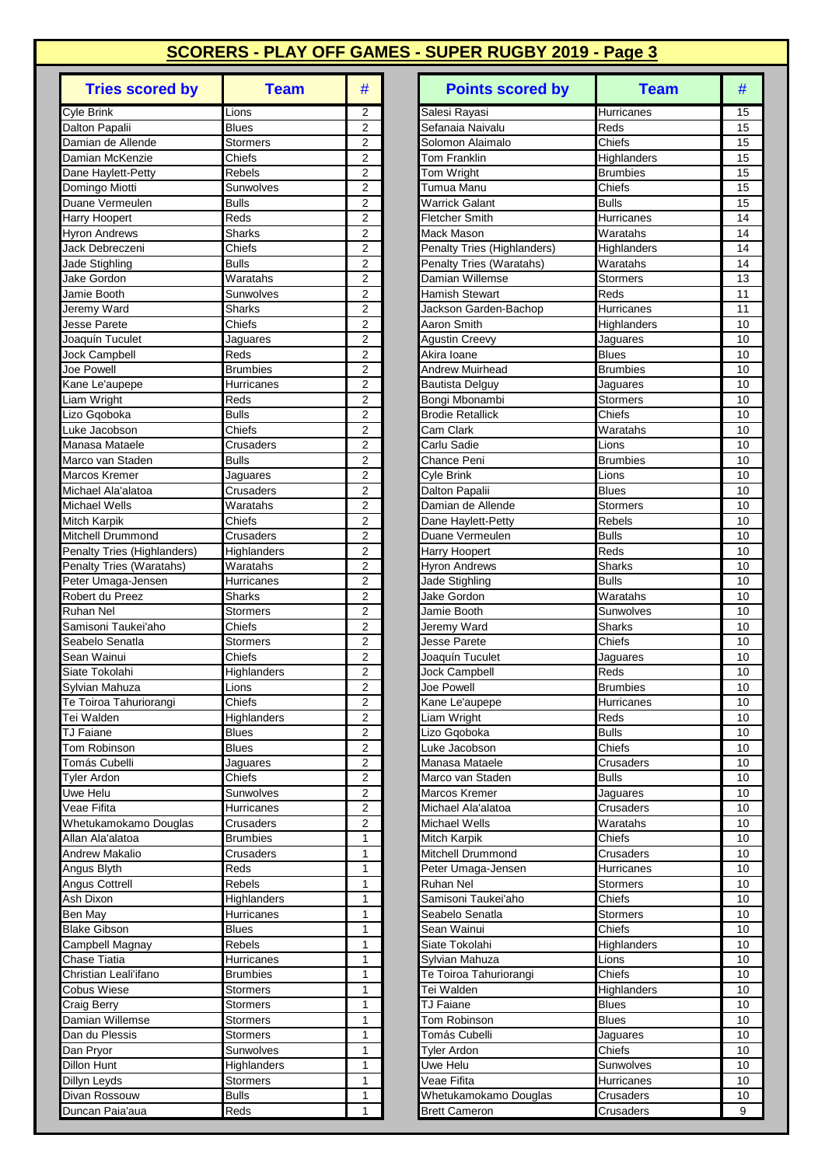| <b>Tries scored by</b>                     | <b>Team</b>               | #                                |
|--------------------------------------------|---------------------------|----------------------------------|
| <b>Cyle Brink</b>                          | Lions                     | 2                                |
| Dalton Papalii                             | <b>Blues</b>              | $\overline{2}$                   |
| Damian de Allende                          | Stormers                  | 2                                |
| Damian McKenzie                            | Chiefs                    | $\overline{2}$                   |
| Dane Haylett-Petty                         | Rebels                    | 2                                |
| Domingo Miotti<br>Duane Vermeulen          | Sunwolves<br><b>Bulls</b> | $\overline{2}$<br>$\overline{2}$ |
| Harry Hoopert                              | Reds                      | 2                                |
| <b>Hyron Andrews</b>                       | <b>Sharks</b>             | $\overline{2}$                   |
| Jack Debreczeni                            | Chiefs                    | 2                                |
| <b>Jade Stighling</b>                      | <b>Bulls</b>              | $\overline{2}$                   |
| Jake Gordon                                | Waratahs                  | 2                                |
| Jamie Booth                                | Sunwolves                 | 2                                |
| Jeremy Ward                                | <b>Sharks</b>             | 2                                |
| Jesse Parete                               | Chiefs                    | 2<br>$\overline{2}$              |
| Joaquín Tuculet<br>Jock Campbell           | Jaguares<br>Reds          | $\overline{c}$                   |
| Joe Powell                                 | <b>Brumbies</b>           | $\overline{2}$                   |
| Kane Le'aupepe                             | Hurricanes                | 2                                |
| Liam Wright                                | Reds                      | 2                                |
| Lizo Gqoboka                               | <b>Bulls</b>              | 2                                |
| Luke Jacobson                              | Chiefs                    | $\overline{2}$                   |
| Manasa Mataele                             | Crusaders                 | $\overline{2}$                   |
| Marco van Staden                           | <b>Bulls</b>              | 2                                |
| Marcos Kremer                              | Jaguares                  | 2                                |
| Michael Ala'alatoa<br><b>Michael Wells</b> | Crusaders<br>Waratahs     | $\overline{c}$<br>$\overline{2}$ |
| Mitch Karpik                               | Chiefs                    | 2                                |
| Mitchell Drummond                          | Crusaders                 | 2                                |
| Penalty Tries (Highlanders)                | Highlanders               | $\overline{2}$                   |
| Penalty Tries (Waratahs)                   | Waratahs                  | 2                                |
| Peter Umaga-Jensen                         | Hurricanes                | $\overline{2}$                   |
| Robert du Preez                            | Sharks                    | $\overline{c}$                   |
| Ruhan Nel                                  | Stormers                  | $\overline{2}$                   |
| Samisoni Taukei'aho                        | Chiefs                    | 2                                |
| Seabelo Senatla<br>Sean Wainui             | Stormers<br>Chiefs        | $\overline{2}$<br>2              |
| Siate Tokolahi                             | Highlanders               | 2                                |
| Sylvian Mahuza                             | Lions                     | $\overline{\mathbf{c}}$          |
| Te Toiroa Tahuriorangi                     | Chiefs                    | 2                                |
| Tei Walden                                 | Highlanders               | 2                                |
| <b>TJ Faiane</b>                           | <b>Blues</b>              | 2                                |
| Tom Robinson                               | <b>Blues</b>              | $\overline{c}$                   |
| Tomás Cubelli                              | Jaguares                  | 2                                |
| <b>Tyler Ardon</b><br>Uwe Helu             | Chiefs                    | $\overline{c}$<br>$\overline{2}$ |
| Veae Fifita                                | Sunwolves<br>Hurricanes   | 2                                |
| Whetukamokamo Douglas                      | Crusaders                 | 2                                |
| Allan Ala'alatoa                           | <b>Brumbies</b>           | 1                                |
| <b>Andrew Makalio</b>                      | Crusaders                 | 1                                |
| Angus Blyth                                | Reds                      | 1                                |
| Angus Cottrell                             | Rebels                    | 1                                |
| Ash Dixon                                  | Highlanders               | 1                                |
| Ben May                                    | Hurricanes                | 1                                |
| <b>Blake Gibson</b>                        | <b>Blues</b>              | 1                                |
| Campbell Magnay<br>Chase Tiatia            | Rebels<br>Hurricanes      | 1<br>1                           |
| Christian Leali'ifano                      | <b>Brumbies</b>           | 1                                |
| Cobus Wiese                                | Stormers                  | 1                                |
| Craig Berry                                | Stormers                  | 1                                |
| Damian Willemse                            | Stormers                  | $\overline{1}$                   |
| Dan du Plessis                             | Stormers                  | 1                                |
| Dan Pryor                                  | Sunwolves                 | 1                                |
| <b>Dillon Hunt</b>                         | Highlanders               | 1                                |
| Dillyn Leyds                               | Stormers                  | 1                                |
| Divan Rossouw<br>Duncan Paia'aua           | <b>Bulls</b><br>Reds      | 1<br>1                           |
|                                            |                           |                                  |

| <b>Tries scored by</b>                    | <b>Team</b>                             | #                                | <b>Points scored by</b>                  | <b>Team</b>              | #        |
|-------------------------------------------|-----------------------------------------|----------------------------------|------------------------------------------|--------------------------|----------|
| <b>Cyle Brink</b>                         | Lions                                   | 2                                | Salesi Rayasi                            | Hurricanes               | 15       |
| Dalton Papalii                            | <b>Blues</b>                            | $\overline{2}$                   | Sefanaia Naivalu                         | Reds                     | 15       |
| Damian de Allende                         | Stormers                                | 2                                | Solomon Alaimalo                         | Chiefs                   | 15       |
| Damian McKenzie                           | Chiefs                                  | 2                                | Tom Franklin                             | Highlanders              | 15       |
| Dane Haylett-Petty                        | Rebels                                  | $\overline{2}$                   | Tom Wright                               | <b>Brumbies</b>          | 15       |
| Domingo Miotti<br>Duane Vermeulen         | Sunwolves<br><b>Bulls</b>               | 2<br>2                           | Tumua Manu<br>Warrick Galant             | Chiefs<br><b>Bulls</b>   | 15<br>15 |
| Harry Hoopert                             | Reds                                    | $\overline{2}$                   | Fletcher Smith                           | Hurricanes               | 14       |
| Hyron Andrews                             | <b>Sharks</b>                           | $\overline{2}$                   | Mack Mason                               | Waratahs                 | 14       |
| Jack Debreczeni                           | Chiefs                                  | $\overline{2}$                   | Penalty Tries (Highlanders)              | Highlanders              | 14       |
| Jade Stighling                            | <b>Bulls</b>                            | $\overline{2}$                   | Penalty Tries (Waratahs)                 | Waratahs                 | 14       |
| Jake Gordon                               | Waratahs                                | $\overline{2}$                   | Damian Willemse                          | Stormers                 | 13       |
| Jamie Booth                               | Sunwolves                               | 2                                | Hamish Stewart                           | Reds                     | 11       |
| Jeremy Ward                               | Sharks                                  | 2                                | Jackson Garden-Bachop                    | Hurricanes               | 11       |
| Jesse Parete                              | Chiefs                                  | 2                                | Aaron Smith                              | Highlanders              | 10       |
| Joaquín Tuculet                           | Jaguares<br>Reds                        | $\overline{c}$<br>$\overline{2}$ | <b>Agustin Creevy</b>                    | Jaguares<br><b>Blues</b> | 10<br>10 |
| <b>Jock Campbell</b><br><b>Joe Powell</b> | <b>Brumbies</b>                         | 2                                | Akira Ioane<br>Andrew Muirhead           | <b>Brumbies</b>          | 10       |
| Kane Le'aupepe                            | Hurricanes                              | $\overline{2}$                   | <b>Bautista Delguy</b>                   | Jaguares                 | 10       |
| Liam Wright                               | Reds                                    | $\overline{2}$                   | Bongi Mbonambi                           | <b>Stormers</b>          | 10       |
| Lizo Gqoboka                              | <b>Bulls</b>                            | $\overline{2}$                   | <b>Brodie Retallick</b>                  | Chiefs                   | 10       |
| Luke Jacobson                             | Chiefs                                  | $\overline{2}$                   | Cam Clark                                | Waratahs                 | 10       |
| Manasa Mataele                            | Crusaders                               | $\overline{2}$                   | Carlu Sadie                              | Lions                    | 10       |
| Marco van Staden                          | <b>Bulls</b>                            | 2                                | Chance Peni                              | Brumbies                 | 10       |
| Marcos Kremer                             | Jaguares                                | 2                                | Cyle Brink                               | Lions                    | 10       |
| Michael Ala'alatoa                        | Crusaders                               | $\overline{2}$                   | Dalton Papalii                           | <b>Blues</b>             | 10       |
| <b>Michael Wells</b><br>Mitch Karpik      | $\overline{\text{W}}$ aratahs<br>Chiefs | $\overline{2}$<br>$\overline{2}$ | Damian de Allende<br>Dane Haylett-Petty  | Stormers<br>Rebels       | 10<br>10 |
| Mitchell Drummond                         | Crusaders                               | $\overline{2}$                   | Duane Vermeulen                          | <b>Bulls</b>             | 10       |
| Penalty Tries (Highlanders)               | Highlanders                             | 2                                | Harry Hoopert                            | Reds                     | 10       |
| Penalty Tries (Waratahs)                  | $\overline{\text{W}}$ aratahs           | 2                                | Hyron Andrews                            | <b>Sharks</b>            | 10       |
| Peter Umaga-Jensen                        | Hurricanes                              | $\overline{2}$                   | Jade Stighling                           | <b>Bulls</b>             | 10       |
| Robert du Preez                           | <b>Sharks</b>                           | $\overline{2}$                   | Jake Gordon                              | Waratahs                 | 10       |
| <b>Ruhan Nel</b>                          | <b>Stormers</b>                         | $\overline{2}$                   | Jamie Booth                              | Sunwolves                | 10       |
| Samisoni Taukei'aho                       | Chiefs                                  | 2                                | Jeremy Ward                              | <b>Sharks</b>            | 10       |
| Seabelo Senatla                           | Stormers                                | 2                                | Jesse Parete                             | Chiefs                   | 10       |
| Sean Wainui<br>Siate Tokolahi             | Chiefs<br>Highlanders                   | 2<br>2                           | Joaquín Tuculet<br><b>Jock Campbell</b>  | Jaguares<br>Reds         | 10<br>10 |
| Sylvian Mahuza                            | Lions                                   | $\overline{2}$                   | Joe Powell                               | <b>Brumbies</b>          | 10       |
| Te Toiroa Tahuriorangi                    | Chiefs                                  | $\overline{\mathbf{c}}$          | Kane Le'aupepe                           | Hurricanes               | $10$     |
| Tei Walden                                | <b>Highlanders</b>                      | 2                                | Liam Wright                              | Reds                     | 10       |
| <b>TJ Faiane</b>                          | <b>Blues</b>                            | 2                                | Lizo Gqoboka                             | <b>Bulls</b>             | 10       |
| Tom Robinson                              | <b>Blues</b>                            | 2                                | Luke Jacobson                            | Chiefs                   | 10       |
| Tomás Cubelli                             | Jaguares                                | $\overline{c}$                   | Manasa Mataele                           | Crusaders                | 10       |
| <b>Tyler Ardon</b>                        | Chiefs                                  | $\boldsymbol{2}$                 | Marco van Staden                         | <b>Bulls</b>             | 10       |
| Uwe Helu                                  | Sunwolves                               | 2                                | Marcos Kremer                            | Jaguares                 | 10       |
| Veae Fifita<br>Whetukamokamo Douglas      | Hurricanes<br>Crusaders                 | 2<br>$\boldsymbol{2}$            | Michael Ala'alatoa<br>Michael Wells      | Crusaders<br>Waratahs    | 10<br>10 |
| Allan Ala'alatoa                          | Brumbies                                | 1                                | Mitch Karpik                             | Chiefs                   | 10       |
| Andrew Makalio                            | Crusaders                               | $\mathbf{1}$                     | Mitchell Drummond                        | Crusaders                | 10       |
| Angus Blyth                               | Reds                                    | 1                                | Peter Umaga-Jensen                       | Hurricanes               | 10       |
| Angus Cottrell                            | Rebels                                  | 1                                | Ruhan Nel                                | <b>Stormers</b>          | 10       |
| Ash Dixon                                 | Highlanders                             | 1                                | Samisoni Taukei'aho                      | Chiefs                   | 10       |
| Ben May                                   | Hurricanes                              | 1                                | Seabelo Senatla                          | <b>Stormers</b>          | 10       |
| <b>Blake Gibson</b>                       | <b>Blues</b>                            | $\mathbf{1}$                     | Sean Wainui                              | Chiefs                   | 10       |
| Campbell Magnay                           | Rebels                                  | 1                                | Siate Tokolahi                           | Highlanders              | 10       |
| Chase Tiatia<br>Christian Leali'ifano     | Hurricanes<br>Brumbies                  | $\mathbf{1}$<br>1                | Sylvian Mahuza<br>Te Toiroa Tahuriorangi | Lions<br>Chiefs          | 10<br>10 |
| <b>Cobus Wiese</b>                        | Stormers                                | 1                                | Tei Walden                               | Highlanders              | 10       |
| Craig Berry                               | Stormers                                | 1                                | <b>TJ Faiane</b>                         | <b>Blues</b>             | 10       |
| Damian Willemse                           | Stormers                                | 1                                | Tom Robinson                             | <b>Blues</b>             | 10       |
| Dan du Plessis                            | Stormers                                | 1                                | Tomás Cubelli                            | Jaguares                 | 10       |
| Dan Pryor                                 | Sunwolves                               | 1                                | <b>Tyler Ardon</b>                       | Chiefs                   | 10       |
| Dillon Hunt                               | Highlanders                             | 1                                | Uwe Helu                                 | Sunwolves                | 10       |
| Dillyn Leyds                              | <b>Stormers</b>                         | 1                                | Veae Fifita                              | Hurricanes               | 10       |
| Divan Rossouw                             | <b>Bulls</b>                            | 1                                | Whetukamokamo Douglas                    | Crusaders                | 10       |
| Duncan Paia'aua                           | Reds                                    | $\mathbf{1}$                     | <b>Brett Cameron</b>                     | Crusaders                | 9        |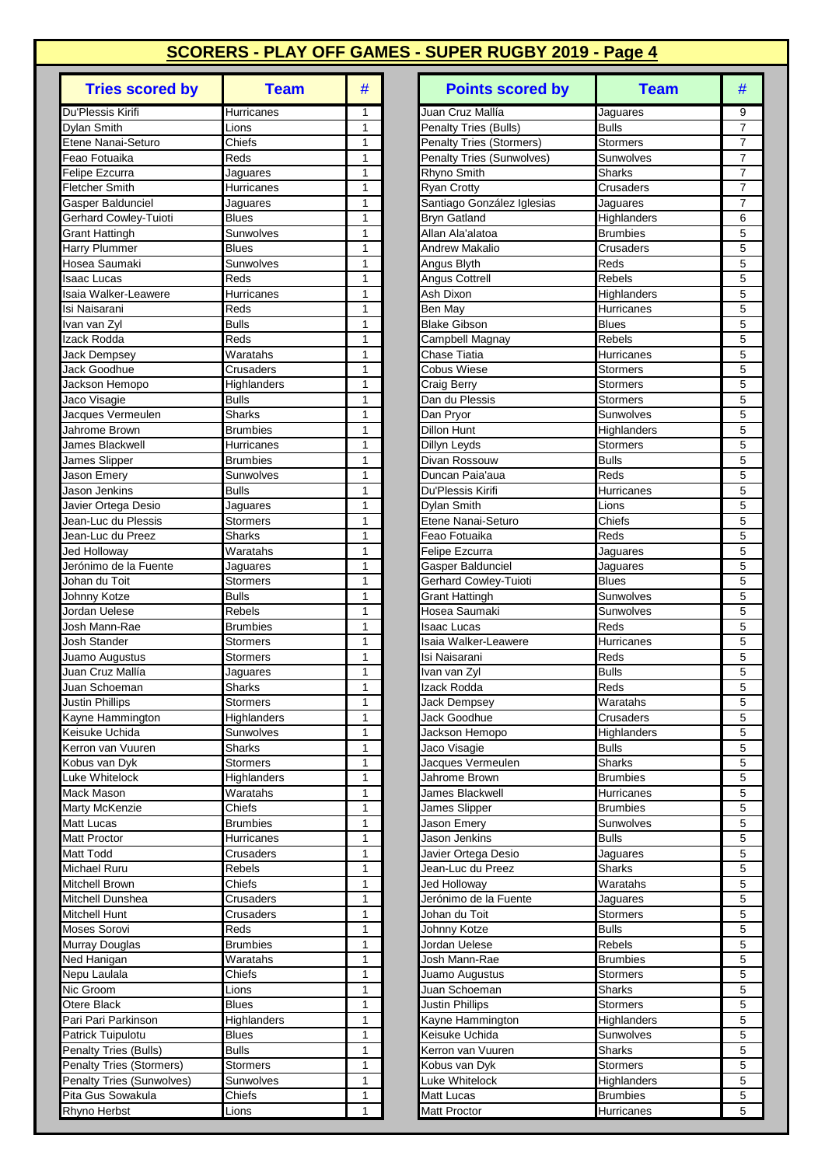| <b>Tries scored by</b>                         | <b>Team</b>               | #              |
|------------------------------------------------|---------------------------|----------------|
| Du'Plessis Kirifi                              | Hurricanes                | 1              |
| <b>Dylan Smith</b>                             | Lions                     | 1              |
| Etene Nanai-Seturo                             | Chiefs                    | 1              |
| Feao Fotuaika                                  | Reds                      | 1              |
| Felipe Ezcurra                                 | Jaguares                  | 1              |
| <b>Fletcher Smith</b>                          | Hurricanes                | 1              |
| Gasper Baldunciel                              | Jaguares                  | 1<br>1         |
| Gerhard Cowley-Tuioti<br><b>Grant Hattingh</b> | <b>Blues</b><br>Sunwolves | 1              |
| Harry Plummer                                  | <b>Blues</b>              | 1              |
| Hosea Saumaki                                  | Sunwolves                 | 1              |
| <b>Isaac Lucas</b>                             | Reds                      | 1              |
| Isaia Walker-Leawere                           | Hurricanes                | 1              |
| Isi Naisarani                                  | Reds                      | 1              |
| Ivan van Zyl                                   | <b>Bulls</b>              | 1              |
| Izack Rodda                                    | Reds                      | 1              |
| Jack Dempsey                                   | Waratahs                  | 1              |
| Jack Goodhue                                   | Crusaders                 | 1              |
| Jackson Hemopo                                 | Highlanders               | 1              |
| Jaco Visagie<br>Jacques Vermeulen              | <b>Bulls</b><br>Sharks    | 1<br>1         |
| Jahrome Brown                                  | <b>Brumbies</b>           | 1              |
| James Blackwell                                | Hurricanes                | 1              |
| James Slipper                                  | <b>Brumbies</b>           | 1              |
| Jason Emery                                    | Sunwolves                 | 1              |
| Jason Jenkins                                  | <b>Bulls</b>              | 1              |
| Javier Ortega Desio                            | Jaguares                  | 1              |
| Jean-Luc du Plessis                            | Stormers                  | 1              |
| Jean-Luc du Preez                              | Sharks                    | 1              |
| Jed Holloway                                   | Waratahs                  | 1              |
| Jerónimo de la Fuente                          | Jaguares                  | 1              |
| Johan du Toit                                  | Stormers                  | 1<br>1         |
| Johnny Kotze<br>Jordan Uelese                  | <b>Bulls</b><br>Rebels    | 1              |
| Josh Mann-Rae                                  | <b>Brumbies</b>           | 1              |
| <b>Josh Stander</b>                            | Stormers                  | 1              |
| Juamo Augustus                                 | <b>Stormers</b>           | 1              |
| Juan Cruz Mallía                               | Jaguares                  | 1              |
| Juan Schoeman                                  | Sharks                    | $\overline{1}$ |
| <b>Justin Phillips</b>                         | Stormers                  | 1              |
| Kayne Hammington                               | Highlanders               | 1              |
| Keisuke Uchida                                 | Sunwolves                 | 1              |
| Kerron van Vuuren                              | <b>Sharks</b>             | 1              |
| Kobus van Dyk                                  | Stormers                  | 1              |
| Luke Whitelock<br>Mack Mason                   | Highlanders<br>Waratahs   | 1<br>1         |
| Marty McKenzie                                 | Chiefs                    | 1              |
| <b>Matt Lucas</b>                              | <b>Brumbies</b>           | 1              |
| <b>Matt Proctor</b>                            | Hurricanes                | 1              |
| Matt Todd                                      | Crusaders                 | 1              |
| Michael Ruru                                   | Rebels                    | 1              |
| Mitchell Brown                                 | Chiefs                    | 1              |
| Mitchell Dunshea                               | Crusaders                 | 1              |
| Mitchell Hunt                                  | Crusaders                 | 1              |
| Moses Sorovi                                   | Reds                      | 1              |
| Murray Douglas                                 | <b>Brumbies</b>           | 1              |
| Ned Hanigan                                    | Waratahs                  | 1<br>1         |
| Nepu Laulala<br>Nic Groom                      | Chiefs<br>Lions           | 1              |
| Otere Black                                    | <b>Blues</b>              | 1              |
| Pari Pari Parkinson                            | Highlanders               | 1              |
| Patrick Tuipulotu                              | <b>Blues</b>              | 1              |
| Penalty Tries (Bulls)                          | <b>Bulls</b>              | 1              |
| Penalty Tries (Stormers)                       | Stormers                  | 1              |
| Penalty Tries (Sunwolves)                      | Sunwolves                 | 1              |
| Pita Gus Sowakula                              | Chiefs                    | 1              |
| Rhyno Herbst                                   | Lions                     | 1              |

| <b>Tries scored by</b>                     | <b>Team</b>                             | #                            | <b>Points scored by</b>                          | <b>Team</b>                  | #                                |
|--------------------------------------------|-----------------------------------------|------------------------------|--------------------------------------------------|------------------------------|----------------------------------|
| Du'Plessis Kirifi                          | Hurricanes                              | $\mathbf{1}$                 | Juan Cruz Mallía                                 | Jaguares                     | 9                                |
| Dylan Smith                                | Lions                                   | $\mathbf{1}$                 | Penalty Tries (Bulls)                            | <b>Bulls</b>                 | $\overline{7}$                   |
| Etene Nanai-Seturo                         | $\overline{\overline{\mathrm{Ch}}}$ efs | 1                            | <b>Penalty Tries (Stormers)</b>                  | Stormers                     | $\overline{7}$                   |
| Feao Fotuaika                              | Reds                                    | 1                            | <b>Penalty Tries (Sunwolves)</b>                 | Sunwolves                    | $\overline{7}$                   |
| Felipe Ezcurra                             | Jaguares                                | 1                            | Rhyno Smith                                      | Sharks                       | $\overline{7}$                   |
| <b>Fletcher Smith</b><br>Gasper Baldunciel | Hurricanes<br>Jaguares                  | $\mathbf{1}$<br>$\mathbf{1}$ | <b>Ryan Crotty</b><br>Santiago González Iglesias | Crusaders<br>Jaguares        | $\overline{7}$<br>$\overline{7}$ |
| Gerhard Cowley-Tuioti                      | <b>Blues</b>                            | 1                            | <b>Bryn Gatland</b>                              | Highlanders                  | 6                                |
| <b>Grant Hattingh</b>                      | Sunwolves                               | $\mathbf{1}$                 | Allan Ala'alatoa                                 | <b>Brumbies</b>              | 5                                |
| Harry Plummer                              | <b>Blues</b>                            | $\mathbf{1}$                 | Andrew Makalio                                   | Crusaders                    | 5                                |
| Hosea Saumaki                              | Sunwolves                               | 1                            | Angus Blyth                                      | Reds                         | 5                                |
| <b>Isaac Lucas</b>                         | Reds                                    | 1                            | Angus Cottrell                                   | Rebels                       | 5                                |
| Isaia Walker-Leawere                       | Hurricanes                              | $\mathbf{1}$                 | Ash Dixon                                        | Highlanders                  | 5                                |
| Isi Naisarani                              | Reds                                    | $\mathbf{1}$                 | <b>Ben May</b>                                   | Hurricanes                   | 5                                |
| Ivan van Zyl                               | <b>Bulls</b>                            | $\mathbf{1}$                 | <b>Blake Gibson</b>                              | <b>Blues</b>                 | 5                                |
| Izack Rodda<br>Jack Dempsey                | Reds<br>Waratahs                        | 1<br>$\mathbf{1}$            | Campbell Magnay<br>Chase Tiatia                  | Rebels<br>Hurricanes         | 5<br>5                           |
| Jack Goodhue                               | Crusaders                               | $\mathbf{1}$                 | <b>Cobus Wiese</b>                               | Stormers                     | 5                                |
| Jackson Hemopo                             | Highlanders                             | $\mathbf{1}$                 | <b>Craig Berry</b>                               | Stormers                     | 5                                |
| Jaco Visagie                               | <b>Bulls</b>                            | $\mathbf{1}$                 | Dan du Plessis                                   | Stormers                     | 5                                |
| Jacques Vermeulen                          | Sharks                                  | 1                            | Dan Pryor                                        | Sunwolves                    | 5                                |
| Jahrome Brown                              | <b>Brumbies</b>                         | 1                            | Dillon Hunt                                      | Highlanders                  | 5                                |
| James Blackwell                            | Hurricanes                              | $\mathbf{1}$                 | Dillyn Leyds                                     | Stormers                     | 5                                |
| James Slipper                              | <b>Brumbies</b>                         | $\mathbf{1}$                 | Divan Rossouw                                    | <b>Bulls</b>                 | 5                                |
| Jason Emery                                | Sunwolves                               | $\mathbf{1}$                 | Duncan Paia'aua                                  | Reds                         | 5                                |
| Jason Jenkins                              | <b>Bulls</b>                            | 1                            | Du'Plessis Kirifi                                | Hurricanes                   | 5                                |
| Javier Ortega Desio<br>Jean-Luc du Plessis | Jaguares<br>Stormers                    | 1<br>$\mathbf{1}$            | Dylan Smith<br>Etene Nanai-Seturo                | Lions<br>Chiefs              | 5<br>5                           |
| Jean-Luc du Preez                          | Sharks                                  | 1                            | Feao Fotuaika                                    | Reds                         | 5                                |
| Jed Holloway                               | Waratahs                                | $\mathbf{1}$                 | <b>Felipe Ezcurra</b>                            | Jaguares                     | 5                                |
| Jerónimo de la Fuente                      | Jaguares                                | $\mathbf{1}$                 | Gasper Baldunciel                                | Jaguares                     | 5                                |
| Johan du Toit                              | Stormers                                | $\mathbf{1}$                 | Gerhard Cowley-Tuioti                            | <b>Blues</b>                 | 5                                |
| Johnny Kotze                               | <b>Bulls</b>                            | 1                            | <b>Grant Hattingh</b>                            | Sunwolves                    | 5                                |
| Jordan Uelese                              | <b>Rebels</b>                           | $\mathbf{1}$                 | Hosea Saumaki                                    | Sunwolves                    | 5                                |
| Josh Mann-Rae                              | <b>Brumbies</b>                         | $\mathbf{1}$                 | Isaac Lucas                                      | Reds                         | 5                                |
| <b>Josh Stander</b>                        | Stormers                                | 1                            | Isaia Walker-Leawere                             | Hurricanes                   | 5                                |
| Juamo Augustus<br>Juan Cruz Mallía         | Stormers<br>Jaguares                    | 1<br>1                       | Isi Naisarani<br>Ivan van Zyl                    | Reds<br><b>Bulls</b>         | 5<br>5                           |
| Juan Schoeman                              | Sharks                                  | $\mathbf{1}$                 | Izack Rodda                                      | Reds                         | 5                                |
| <b>Justin Phillips</b>                     | Stormers                                | $\mathbf{1}$                 | Jack Dempsey                                     | Waratahs                     | 5                                |
| Kayne Hammington                           | Highlanders                             | 1                            | Jack Goodhue                                     | Crusaders                    | 5                                |
| Keisuke Uchida                             | Sunwolves                               | 1                            | Jackson Hemopo                                   | Highlanders                  | 5                                |
| Kerron van Vuuren                          | Sharks                                  | $\mathbf{1}$                 | Jaco Visagie                                     | Bulls                        | 5                                |
| Kobus van Dyk                              | Stormers                                | 1                            | Jacques Vermeulen                                | <b>Sharks</b>                | 5                                |
| Luke Whitelock                             | Highlanders                             | 1                            | Jahrome Brown                                    | <b>Brumbies</b>              | 5                                |
| Mack Mason                                 | Waratahs<br>Chiefs                      | 1                            | James Blackwell                                  | Hurricanes                   | 5                                |
| Marty McKenzie<br>Matt Lucas               | Brumbies                                | 1<br>1                       | James Slipper<br>Jason Emery                     | <b>Brumbies</b><br>Sunwolves | 5<br>5                           |
| Matt Proctor                               | Hurricanes                              | 1                            | Jason Jenkins                                    | <b>Bulls</b>                 | 5                                |
| Matt Todd                                  | Crusaders                               | 1                            | Javier Ortega Desio                              | Jaguares                     | 5                                |
| Michael Ruru                               | Rebels                                  | 1                            | Jean-Luc du Preez                                | <b>Sharks</b>                | 5                                |
| Mitchell Brown                             | Chiefs                                  | 1                            | Jed Holloway                                     | Waratahs                     | 5                                |
| Mitchell Dunshea                           | Crusaders                               | 1                            | Jerónimo de la Fuente                            | Jaguares                     | 5                                |
| Mitchell Hunt                              | Crusaders                               | 1                            | Johan du Toit                                    | Stormers                     | 5                                |
| Moses Sorovi                               | Reds                                    | 1                            | Johnny Kotze                                     | <b>Bulls</b>                 | 5                                |
| Murray Douglas                             | <b>Brumbies</b>                         | $\mathbf{1}$                 | Jordan Uelese                                    | Rebels                       | 5                                |
| Ned Hanigan<br>Nepu Laulala                | Waratahs<br>Chiefs                      | 1<br>1                       | Josh Mann-Rae<br>Juamo Augustus                  | Brumbies<br>Stormers         | 5<br>5                           |
| Nic Groom                                  | Lions                                   | $\mathbf{1}$                 | Juan Schoeman                                    | Sharks                       | 5                                |
| Otere Black                                | <b>Blues</b>                            | 1                            | <b>Justin Phillips</b>                           | Stormers                     | 5                                |
| Pari Pari Parkinson                        | Highlanders                             | 1                            | Kayne Hammington                                 | Highlanders                  | 5                                |
| Patrick Tuipulotu                          | <b>Blues</b>                            | 1                            | Keisuke Uchida                                   | Sunwolves                    | 5                                |
| Penalty Tries (Bulls)                      | <b>Bulls</b>                            | 1                            | Kerron van Vuuren                                | Sharks                       | 5                                |
| <b>Penalty Tries (Stormers)</b>            | <b>Stormers</b>                         | 1                            | Kobus van Dyk                                    | <b>Stormers</b>              | 5                                |
| <b>Penalty Tries (Sunwolves)</b>           | Sunwolves                               | 1                            | Luke Whitelock                                   | Highlanders                  | 5                                |
| Pita Gus Sowakula                          | Chiefs                                  | 1                            | Matt Lucas                                       | <b>Brumbies</b>              | 5                                |
| Rhyno Herbst                               | Lions                                   | 1                            | Matt Proctor                                     | Hurricanes                   | 5                                |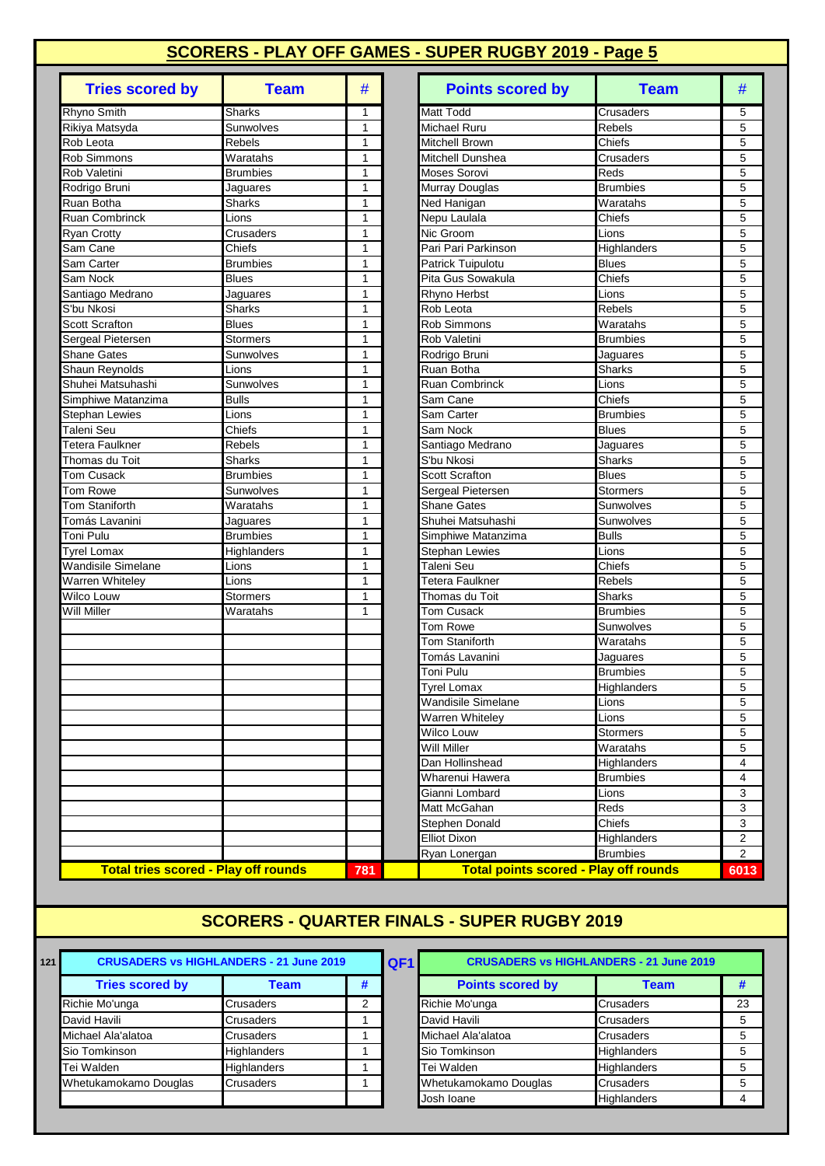| <b>Tries scored by</b>                      | <b>Team</b>     | #            | <b>Points scored by</b>                      | <b>Team</b>                    | #                        |
|---------------------------------------------|-----------------|--------------|----------------------------------------------|--------------------------------|--------------------------|
| Rhyno Smith                                 | Sharks          | 1            | <b>Matt Todd</b>                             | Crusaders                      | 5                        |
| Rikiya Matsyda                              | Sunwolves       | 1            | <b>Michael Ruru</b>                          | Rebels                         | 5                        |
| Rob Leota                                   | Rebels          | 1            | <b>Mitchell Brown</b>                        | Chiefs                         | 5                        |
| <b>Rob Simmons</b>                          | Waratahs        | 1            | Mitchell Dunshea                             | Crusaders                      | 5                        |
| Rob Valetini                                | <b>Brumbies</b> | 1            | <b>Moses Sorovi</b>                          | Reds                           | 5                        |
| Rodrigo Bruni                               | Jaguares        | 1            | Murray Douglas                               | <b>Brumbies</b>                | 5                        |
| Ruan Botha                                  | <b>Sharks</b>   | 1            | Ned Hanigan                                  | Waratahs                       | 5                        |
| <b>Ruan Combrinck</b>                       | Lions           | 1            | Nepu Laulala                                 | Chiefs                         | 5                        |
| <b>Ryan Crotty</b>                          | Crusaders       | 1            | Nic Groom                                    | Lions                          | 5                        |
| Sam Cane                                    | Chiefs          | 1            | Pari Pari Parkinson                          | Highlanders                    | 5                        |
| Sam Carter                                  | <b>Brumbies</b> | $\mathbf{1}$ | Patrick Tuipulotu                            | <b>Blues</b>                   | 5                        |
| Sam Nock                                    | <b>Blues</b>    | 1            | Pita Gus Sowakula                            | Chiefs                         | 5                        |
| Santiago Medrano                            | Jaguares        | 1            | Rhyno Herbst                                 | Lions                          | 5                        |
| S'bu Nkosi                                  | Sharks          | 1            | Rob Leota                                    | <b>Rebels</b>                  | 5                        |
| <b>Scott Scrafton</b>                       | <b>Blues</b>    | 1            | Rob Simmons                                  | Waratahs                       | 5                        |
| Sergeal Pietersen                           | <b>Stormers</b> | 1            | Rob Valetini                                 | <b>Brumbies</b>                | 5                        |
| <b>Shane Gates</b>                          | Sunwolves       | 1            | Rodrigo Bruni                                | Jaguares                       | 5                        |
| <b>Shaun Reynolds</b>                       | Lions           | $\mathbf{1}$ | Ruan Botha                                   | Sharks                         | 5                        |
| Shuhei Matsuhashi                           | Sunwolves       | 1            | <b>Ruan Combrinck</b>                        | Lions                          | 5                        |
| Simphiwe Matanzima                          | <b>Bulls</b>    | 1            | Sam Cane                                     | Chiefs                         | 5                        |
| <b>Stephan Lewies</b>                       | Lions           | 1            | Sam Carter                                   | <b>Brumbies</b>                | 5                        |
| Taleni Seu                                  | Chiefs          | 1            | Sam Nock                                     | <b>Blues</b>                   | 5                        |
| Tetera Faulkner                             | Rebels          | 1            | Santiago Medrano                             | Jaguares                       | 5                        |
| Thomas du Toit                              | Sharks          | 1            | S'bu Nkosi                                   | <b>Sharks</b>                  | 5                        |
| <b>Tom Cusack</b>                           | <b>Brumbies</b> | 1            | <b>Scott Scrafton</b>                        | <b>Blues</b>                   | 5                        |
| Tom Rowe                                    | Sunwolves       | 1            | Sergeal Pietersen                            | <b>Stormers</b>                | 5                        |
| <b>Tom Staniforth</b>                       | Waratahs        | 1            | <b>Shane Gates</b>                           | Sunwolves                      | 5                        |
| Tomás Lavanini                              | Jaguares        | 1            | Shuhei Matsuhashi                            | Sunwolves                      | 5                        |
| Toni Pulu                                   | <b>Brumbies</b> | $\mathbf{1}$ | Simphiwe Matanzima                           | <b>Bulls</b>                   | 5                        |
| Tyrel Lomax                                 | Highlanders     | 1            | <b>Stephan Lewies</b>                        | Lions                          | 5                        |
| Wandisile Simelane                          | Lions           | 1            | Taleni Seu                                   | Chiefs                         | 5                        |
| Warren Whiteley                             | Lions           | 1            | Tetera Faulkner                              | <b>Rebels</b>                  | 5                        |
| Wilco Louw                                  | <b>Stormers</b> | 1            | Thomas du Toit                               | <b>Sharks</b>                  | 5                        |
| Will Miller                                 | Waratahs        | $\mathbf{1}$ | <b>Tom Cusack</b>                            | <b>Brumbies</b>                | 5                        |
|                                             |                 |              | <b>Tom Rowe</b>                              | Sunwolves                      | 5                        |
|                                             |                 |              | om Staniforth                                | Waratahs                       | 5                        |
|                                             |                 |              | <sup>-</sup> omás Lavanini                   | Jaguares                       | 5                        |
|                                             |                 |              | Toni Pulu                                    | Brumbies                       | 5                        |
|                                             |                 |              | Tyrel Lomax                                  | Highlanders                    |                          |
|                                             |                 |              | <b>Wandisile Simelane</b>                    | Lions                          | 5                        |
|                                             |                 |              | <b>Warren Whiteley</b>                       | Lions                          | 5                        |
|                                             |                 |              | Wilco Louw                                   | <b>Stormers</b>                | 5                        |
|                                             |                 |              | <b>Will Miller</b>                           | Waratahs                       | 5                        |
|                                             |                 |              | Dan Hollinshead                              | <b>Highlanders</b>             | $\overline{\mathcal{L}}$ |
|                                             |                 |              | Wharenui Hawera                              | <b>Brumbies</b>                |                          |
|                                             |                 |              | Gianni Lombard                               |                                | 4                        |
|                                             |                 |              | Matt McGahan                                 | Lions<br>Reds                  | З                        |
|                                             |                 |              | Stephen Donald                               | Chiefs                         | 3                        |
|                                             |                 |              | <b>Elliot Dixon</b>                          |                                | З<br>2                   |
|                                             |                 |              |                                              | Highlanders<br><b>Brumbies</b> | $\overline{z}$           |
|                                             |                 |              | Ryan Lonergan                                |                                |                          |
| <b>Total tries scored - Play off rounds</b> |                 | 781          | <b>Total points scored - Play off rounds</b> |                                | $60^{\circ}$             |

| <b>Team</b>   | #            | <b>Points scored by</b><br><b>Team</b>       | #              |
|---------------|--------------|----------------------------------------------|----------------|
|               | 1            | Matt Todd<br>Crusaders                       | 5              |
| es            | 1            | Michael Ruru<br>Rebels                       | 5              |
|               | 1            | Mitchell Brown<br>Chiefs                     | 5              |
| ١S            | 1            | Mitchell Dunshea<br>Crusaders                | 5              |
| ,s            | 1            | Moses Sorovi<br>Reds                         | 5              |
| s             | 1            | <b>Brumbies</b><br>Murray Douglas            | 5              |
|               | 1            | Waratahs<br>Ned Hanigan                      | 5              |
|               | 1            | Nepu Laulala<br>Chiefs                       | 5              |
| ers           | 1            | Nic Groom<br>Lions                           | 5              |
|               | 1            | Pari Pari Parkinson<br>Highlanders           | 5              |
| ,s            | 1            | Patrick Tuipulotu<br><b>Blues</b>            | 5              |
|               | 1            | Pita Gus Sowakula<br>Chiefs                  | 5              |
| S             | 1            | Rhyno Herbst<br>Lions                        | 5              |
|               | 1            | Rob Leota<br>Rebels                          | 5              |
|               | 1            | Rob Simmons<br>Waratahs                      | 5              |
| s             | 1            | Rob Valetini<br><b>Brumbies</b>              | 5              |
| es            | 1            | Rodrigo Bruni<br>Jaguares                    | 5              |
|               | 1            | Ruan Botha<br>Sharks                         | 5              |
| es            | 1            | <b>Ruan Combrinck</b><br>Lions               | 5              |
|               | 1            | Chiefs<br>Sam Cane                           | 5              |
|               | 1            | <b>Brumbies</b><br>Sam Carter                | 5              |
|               | 1            | Sam Nock<br><b>Blues</b>                     | 5              |
|               | 1            | Santiago Medrano<br>Jaguares                 | 5              |
|               | 1            | S'bu Nkosi<br><b>Sharks</b>                  | 5              |
| ۱S            | 1            | <b>Scott Scrafton</b><br><b>Blues</b>        | 5              |
| es            | 1            | Sergeal Pietersen<br><b>Stormers</b>         | 5              |
| ١S            | 1            | <b>Shane Gates</b><br>Sunwolves              | 5              |
| S             | 1            | Shuhei Matsuhashi<br>Sunwolves               | 5              |
| ,s            | 1            | Simphiwe Matanzima<br><b>Bulls</b>           | 5              |
| ders          | 1            | <b>Stephan Lewies</b><br>Lions               | 5              |
|               | 1            | Taleni Seu<br>Chiefs                         | 5              |
|               | $\mathbf{1}$ | Tetera Faulkner<br>Rebels                    | 5              |
| s             | 1            | Thomas du Toit<br>Sharks                     | 5              |
| ١S            | 1            | Tom Cusack<br><b>Brumbies</b>                | 5              |
|               |              | Tom Rowe<br>Sunwolves                        | 5              |
|               |              | Tom Staniforth<br>Waratahs                   | 5              |
|               |              | Tomás Lavanini<br>Jaguares                   | 5              |
|               |              | Toni Pulu<br><b>Brumbies</b>                 | 5              |
|               |              | <b>Tyrel Lomax</b><br>Highlanders            | 5              |
|               |              | Wandisile Simelane<br>Lions                  | 5              |
|               |              | Warren Whiteley<br>Lions                     | 5              |
|               |              | Wilco Louw<br>Stormers                       | 5              |
|               |              | Will Miller<br>Waratahs                      | 5              |
|               |              | Dan Hollinshead<br>Highlanders               | 4              |
|               |              | Wharenui Hawera<br><b>Brumbies</b>           | 4              |
|               |              | Gianni Lombard<br>Lions                      | 3              |
|               |              | Matt McGahan<br>Reds                         | 3              |
|               |              | <b>Stephen Donald</b><br>Chiefs              | 3              |
|               |              | <b>Elliot Dixon</b><br><b>Highlanders</b>    | 2              |
|               |              | Ryan Lonergan<br><b>Brumbies</b>             | $\overline{2}$ |
| <u>rounds</u> | 781          | <b>Total points scored - Play off rounds</b> | 6013           |

### **SCORERS - QUARTER FINALS - SUPER RUGBY 2019**

| 121 | <b>CRUSADERS vs HIGHLANDERS - 21 June 2019</b><br>QF <sub>1</sub> |                    |   |  |                         | <b>CRUSADERS vs HIGHLANDERS - 21 June 2019</b> |    |
|-----|-------------------------------------------------------------------|--------------------|---|--|-------------------------|------------------------------------------------|----|
|     | <b>Tries scored by</b>                                            | Team               | # |  | <b>Points scored by</b> | <b>Team</b>                                    |    |
|     | Richie Mo'unga                                                    | <b>Crusaders</b>   | ⌒ |  | Richie Mo'unga          | <b>Crusaders</b>                               | 2: |
|     | David Havili                                                      | Crusaders          |   |  | David Havili            | <b>Crusaders</b>                               |    |
|     | Michael Ala'alatoa                                                | Crusaders          |   |  | Michael Ala'alatoa      | Crusaders                                      |    |
|     | Sio Tomkinson                                                     | <b>Highlanders</b> |   |  | Sio Tomkinson           | <b>Highlanders</b>                             |    |
|     | Tei Walden                                                        | <b>Highlanders</b> |   |  | Tei Walden              | <b>Highlanders</b>                             |    |
|     | Whetukamokamo Douglas                                             | <b>Crusaders</b>   |   |  | Whetukamokamo Douglas   | <b>Crusaders</b>                               |    |
|     |                                                                   |                    |   |  | Josh Ioane              | <b>Highlanders</b>                             |    |

| <b>CRUSADERS vs HIGHLANDERS - 21 June 2019</b> |                    |   |  | QF1                     | <b>CRUSADERS vs HIGHLANDERS - 21 June 2019</b> |    |
|------------------------------------------------|--------------------|---|--|-------------------------|------------------------------------------------|----|
| <b>Tries scored by</b>                         | Team               | # |  | <b>Points scored by</b> | <b>Team</b>                                    |    |
| Richie Mo'unga                                 | <b>Crusaders</b>   | っ |  | Richie Mo'unga          | <b>Crusaders</b>                               | 23 |
| David Havili                                   | <b>Crusaders</b>   |   |  | David Havili            | <b>Crusaders</b>                               | 5  |
| Michael Ala'alatoa                             | <b>Crusaders</b>   |   |  | Michael Ala'alatoa      | <b>Crusaders</b>                               | 5  |
| Sio Tomkinson                                  | <b>Highlanders</b> |   |  | Sio Tomkinson           | <b>Highlanders</b>                             | 5  |
| Tei Walden                                     | <b>Highlanders</b> |   |  | Tei Walden              | Highlanders                                    | 5  |
| Whetukamokamo Douglas                          | <b>Crusaders</b>   |   |  | Whetukamokamo Douglas   | <b>Crusaders</b>                               | 5  |
|                                                |                    |   |  | Josh Ioane              | <b>Highlanders</b>                             | 4  |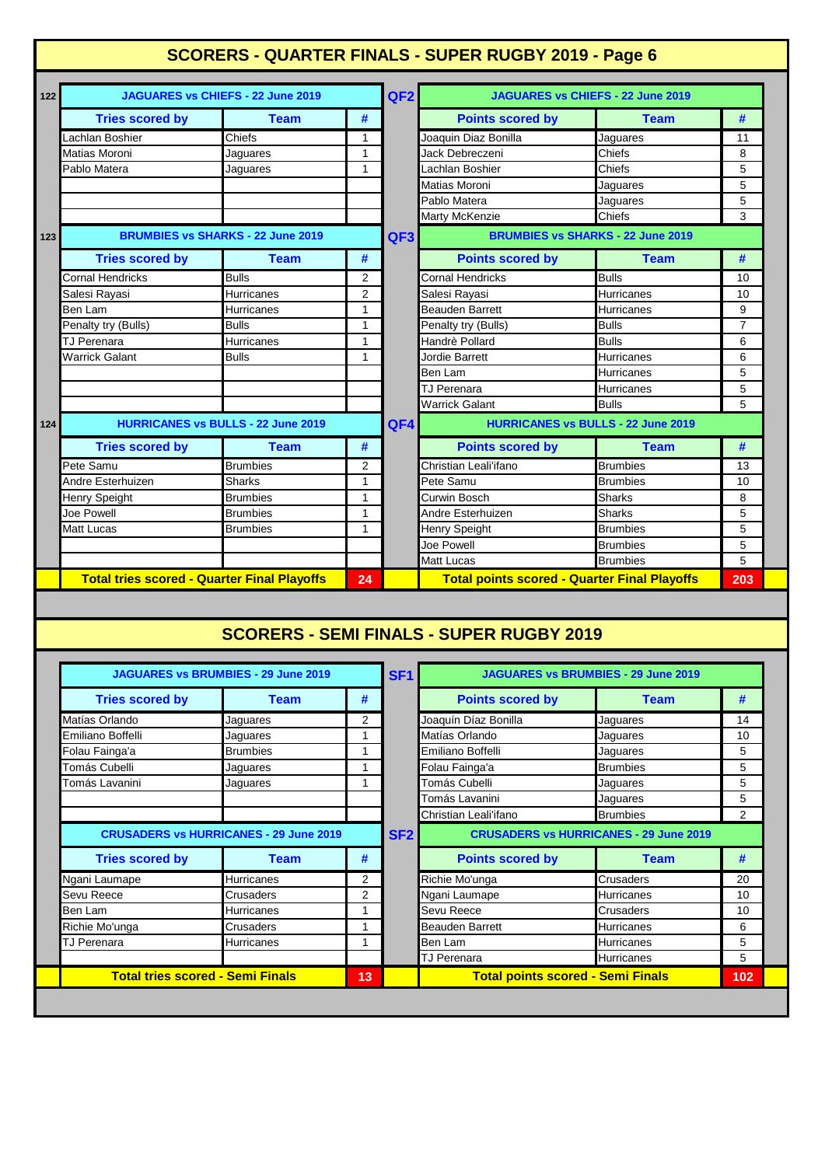# **SCORERS - QUARTER FINALS - SUPER RUGBY 2019 - Page 6**

| 122 |                                                    | <b>JAGUARES vs CHIEFS - 22 June 2019</b>  |                | QF <sub>2</sub> | JAGUARES vs CHIEFS - 22 June 2019                   |                                          |                |  |
|-----|----------------------------------------------------|-------------------------------------------|----------------|-----------------|-----------------------------------------------------|------------------------------------------|----------------|--|
|     | <b>Tries scored by</b>                             | <b>Team</b>                               | #              |                 | <b>Points scored by</b>                             | <b>Team</b>                              | #              |  |
|     | Lachlan Boshier                                    | Chiefs                                    | 1              |                 | Joaquin Diaz Bonilla                                | Jaguares                                 | 11             |  |
|     | Matias Moroni                                      | Jaguares                                  | 1              |                 | Jack Debreczeni                                     | Chiefs                                   | 8              |  |
|     | Pablo Matera                                       | Jaguares                                  | $\mathbf{1}$   |                 | Lachlan Boshier                                     | Chiefs                                   | 5              |  |
|     |                                                    |                                           |                |                 | Matias Moroni                                       | Jaguares                                 | 5              |  |
|     |                                                    |                                           |                |                 | Pablo Matera                                        | Jaguares                                 | 5              |  |
|     |                                                    |                                           |                |                 | <b>Marty McKenzie</b>                               | <b>Chiefs</b>                            | 3              |  |
| 123 |                                                    | <b>BRUMBIES vs SHARKS - 22 June 2019</b>  |                | QF3             |                                                     | <b>BRUMBIES vs SHARKS - 22 June 2019</b> |                |  |
|     | <b>Tries scored by</b>                             | <b>Team</b>                               | #              |                 | <b>Points scored by</b>                             | <b>Team</b>                              | #              |  |
|     | <b>Cornal Hendricks</b>                            | <b>Bulls</b>                              | 2              |                 | <b>Cornal Hendricks</b>                             | <b>Bulls</b>                             | 10             |  |
|     | Salesi Rayasi                                      | <b>Hurricanes</b>                         | $\overline{2}$ |                 | Salesi Rayasi                                       | <b>Hurricanes</b>                        | 10             |  |
|     | Ben Lam                                            | Hurricanes                                | 1              |                 | <b>Beauden Barrett</b>                              | <b>Hurricanes</b>                        | 9              |  |
|     | Penalty try (Bulls)                                | <b>Bulls</b>                              | 1              |                 | Penalty try (Bulls)                                 | <b>Bulls</b>                             | $\overline{7}$ |  |
|     | <b>TJ Perenara</b>                                 | Hurricanes                                | 1              |                 | Handrè Pollard                                      | <b>Bulls</b>                             | 6              |  |
|     | <b>Warrick Galant</b>                              | <b>Bulls</b>                              | 1              |                 | Jordie Barrett                                      | <b>Hurricanes</b>                        | 6              |  |
|     |                                                    |                                           |                |                 | Ben Lam                                             | Hurricanes                               | 5              |  |
|     |                                                    |                                           |                |                 | TJ Perenara                                         | <b>Hurricanes</b>                        | 5              |  |
|     |                                                    |                                           |                |                 | <b>Warrick Galant</b>                               | <b>Bulls</b>                             | 5              |  |
| 124 |                                                    | <b>HURRICANES vs BULLS - 22 June 2019</b> |                | QF4             | <b>HURRICANES vs BULLS - 22 June 2019</b>           |                                          |                |  |
|     | <b>Tries scored by</b>                             | <b>Team</b>                               | #              |                 | <b>Points scored by</b>                             | <b>Team</b>                              | #              |  |
|     | Pete Samu                                          | <b>Brumbies</b>                           | $\overline{2}$ |                 | Christian Leali'ifano                               | <b>Brumbies</b>                          | 13             |  |
|     | Andre Esterhuizen                                  | <b>Sharks</b>                             | 1              |                 | Pete Samu                                           | <b>Brumbies</b>                          | 10             |  |
|     | Henry Speight                                      | <b>Brumbies</b>                           | 1              |                 | Curwin Bosch                                        | Sharks                                   | 8              |  |
|     | Joe Powell                                         | <b>Brumbies</b>                           | 1              |                 | Andre Esterhuizen                                   | <b>Sharks</b>                            | 5              |  |
|     | <b>Matt Lucas</b>                                  | <b>Brumbies</b>                           | 1              |                 | <b>Henry Speight</b>                                | <b>Brumbies</b>                          | 5              |  |
|     |                                                    |                                           |                |                 | Joe Powell                                          | <b>Brumbies</b>                          | 5              |  |
|     |                                                    |                                           |                |                 | Matt Lucas                                          | <b>Brumbies</b>                          | 5              |  |
|     | <b>Total tries scored - Quarter Final Playoffs</b> |                                           | 24             |                 | <b>Total points scored - Quarter Final Playoffs</b> |                                          |                |  |
|     |                                                    |                                           |                |                 |                                                     |                                          |                |  |
|     |                                                    |                                           |                |                 | <b>SCORERS - SEMI FINALS - SUPER RUGBY 2019</b>     |                                          |                |  |
|     |                                                    |                                           |                |                 |                                                     |                                          |                |  |

| <b>JAGUARES vs BRUMBIES - 29 June 2019</b>    |                   |                |                           | <b>JAGUARES vs BRUMBIES - 29 June 2019</b>    |                   |                |  |
|-----------------------------------------------|-------------------|----------------|---------------------------|-----------------------------------------------|-------------------|----------------|--|
| <b>Tries scored by</b>                        | <b>Team</b>       | #              |                           | <b>Points scored by</b>                       | <b>Team</b>       | #              |  |
| Matías Orlando                                | Jaguares          | 2              |                           | Joaquín Díaz Bonilla                          | Jaguares          | 14             |  |
| Emiliano Boffelli                             | Jaguares          |                |                           | Matías Orlando                                | Jaguares          | 10             |  |
| Folau Fainga'a                                | <b>Brumbies</b>   |                |                           | Emiliano Boffelli                             | Jaguares          | 5              |  |
| Tomás Cubelli                                 | Jaguares          |                |                           | Folau Fainga'a                                | <b>Brumbies</b>   | 5              |  |
| Tomás Lavanini                                | Jaguares          |                | Tomás Cubelli<br>Jaquares |                                               |                   | 5              |  |
|                                               |                   |                |                           | Tomás Lavanini                                | Jaguares          | 5              |  |
|                                               |                   |                |                           | Christian Leali'ifano                         | <b>Brumbies</b>   | $\overline{2}$ |  |
| <b>CRUSADERS vs HURRICANES - 29 June 2019</b> |                   |                | SF <sub>2</sub>           | <b>CRUSADERS vs HURRICANES - 29 June 2019</b> |                   |                |  |
| <b>Tries scored by</b>                        | <b>Team</b>       | #              |                           | <b>Points scored by</b>                       | <b>Team</b>       | #              |  |
| Ngani Laumape                                 | <b>Hurricanes</b> | 2              |                           | Richie Mo'unga                                | Crusaders         | 20             |  |
| Sevu Reece                                    | Crusaders         | $\overline{2}$ |                           | Ngani Laumape                                 | Hurricanes        | 10             |  |
| Ben Lam                                       | <b>Hurricanes</b> |                |                           | Sevu Reece<br>Crusaders                       |                   | 10             |  |
| Richie Mo'unga                                | Crusaders         |                |                           | <b>Beauden Barrett</b>                        | <b>Hurricanes</b> | 6              |  |
| TJ Perenara                                   | <b>Hurricanes</b> |                |                           | Ben Lam                                       | <b>Hurricanes</b> | 5              |  |
|                                               |                   |                |                           | <b>TJ Perenara</b>                            | <b>Hurricanes</b> | 5              |  |
| <b>Total tries scored - Semi Finals</b><br>13 |                   |                |                           | <b>Total points scored - Semi Finals</b>      |                   | 102            |  |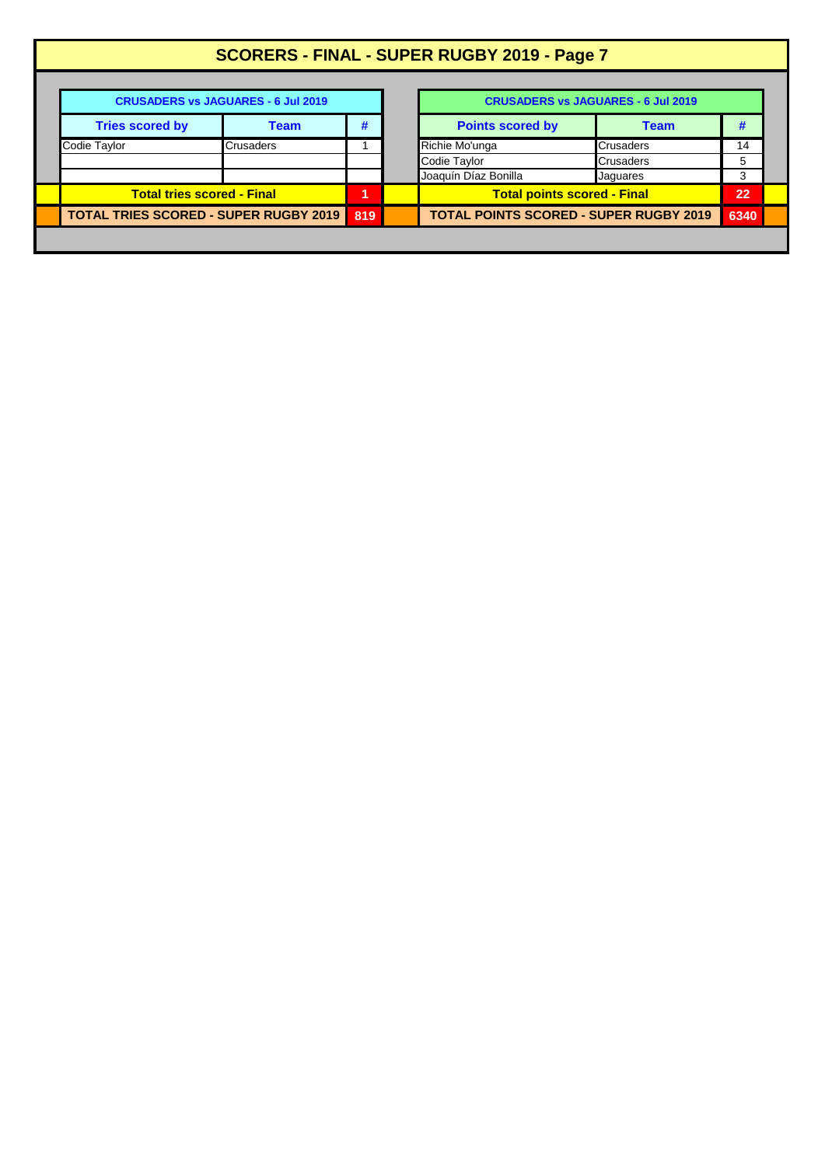| SCORERS - FINAL - SUPER RUGBY 2019 - Page 7  |                                                                              |     |  |                                               |                  |   |  |  |  |
|----------------------------------------------|------------------------------------------------------------------------------|-----|--|-----------------------------------------------|------------------|---|--|--|--|
| <b>CRUSADERS vs JAGUARES - 6 Jul 2019</b>    |                                                                              |     |  | <b>CRUSADERS vs JAGUARES - 6 Jul 2019</b>     |                  |   |  |  |  |
| <b>Tries scored by</b>                       | <b>Team</b>                                                                  | #   |  | <b>Points scored by</b><br><b>Team</b>        |                  | # |  |  |  |
| Codie Taylor                                 | <b>Crusaders</b>                                                             |     |  | Richie Mo'unga                                | Crusaders        |   |  |  |  |
|                                              |                                                                              |     |  | Codie Taylor                                  | <b>Crusaders</b> | 5 |  |  |  |
|                                              |                                                                              |     |  | Joaquín Díaz Bonilla                          | Jaquares         | 3 |  |  |  |
|                                              | <b>Total tries scored - Final</b><br><b>Total points scored - Final</b><br>и |     |  |                                               | 22               |   |  |  |  |
| <b>TOTAL TRIES SCORED - SUPER RUGBY 2019</b> |                                                                              | 819 |  | <b>TOTAL POINTS SCORED - SUPER RUGBY 2019</b> |                  |   |  |  |  |
|                                              |                                                                              |     |  |                                               |                  |   |  |  |  |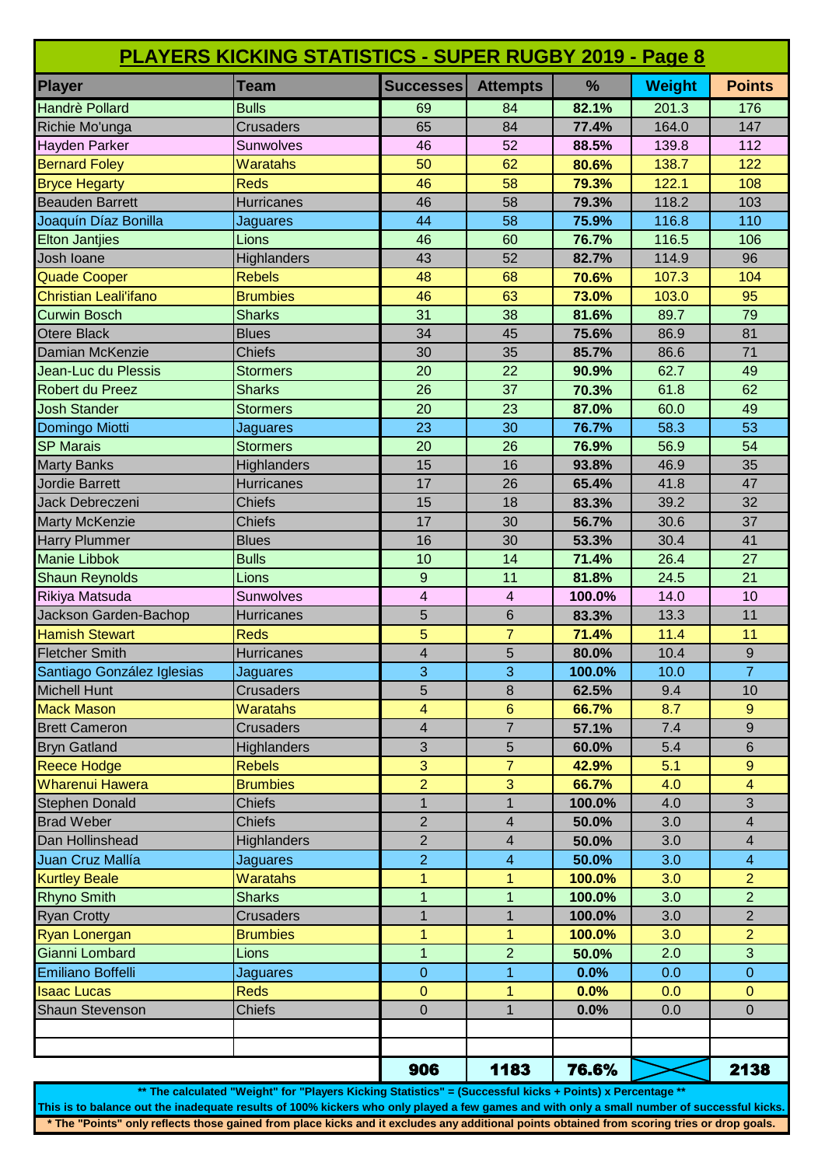| <b>PLAYERS KICKING STATISTICS - SUPER RUGBY 2019 - Page 8</b> |                    |                         |                 |        |               |                  |  |
|---------------------------------------------------------------|--------------------|-------------------------|-----------------|--------|---------------|------------------|--|
| Player                                                        | <b>Team</b>        | <b>Successes</b>        | <b>Attempts</b> | %      | <b>Weight</b> | <b>Points</b>    |  |
| Handrè Pollard                                                | <b>Bulls</b>       | 69                      | 84              | 82.1%  | 201.3         | 176              |  |
| Richie Mo'unga                                                | <b>Crusaders</b>   | 65                      | 84              | 77.4%  | 164.0         | 147              |  |
| Hayden Parker                                                 | Sunwolves          | 46                      | 52              | 88.5%  | 139.8         | 112              |  |
| <b>Bernard Foley</b>                                          | <b>Waratahs</b>    | 50                      | 62              | 80.6%  | 138.7         | 122              |  |
| <b>Bryce Hegarty</b>                                          | <b>Reds</b>        | 46                      | 58              | 79.3%  | 122.1         | 108              |  |
| <b>Beauden Barrett</b>                                        | <b>Hurricanes</b>  | 46                      | 58              | 79.3%  | 118.2         | 103              |  |
| Joaquín Díaz Bonilla                                          | Jaguares           | 44                      | 58              | 75.9%  | 116.8         | 110              |  |
| <b>Elton Jantjies</b>                                         | Lions              | 46                      | 60              | 76.7%  | 116.5         | 106              |  |
| Josh Ioane                                                    | Highlanders        | 43                      | 52              | 82.7%  | 114.9         | 96               |  |
| <b>Quade Cooper</b>                                           | <b>Rebels</b>      | 48                      | 68              | 70.6%  | 107.3         | 104              |  |
| <b>Christian Leali'ifano</b>                                  | <b>Brumbies</b>    | 46                      | 63              | 73.0%  | 103.0         | 95               |  |
| <b>Curwin Bosch</b>                                           | <b>Sharks</b>      | 31                      | 38              | 81.6%  | 89.7          | 79               |  |
| <b>Otere Black</b>                                            | <b>Blues</b>       | 34                      | 45              | 75.6%  | 86.9          | 81               |  |
| <b>Damian McKenzie</b>                                        | <b>Chiefs</b>      | 30                      | 35              | 85.7%  | 86.6          | 71               |  |
| Jean-Luc du Plessis                                           | <b>Stormers</b>    | 20                      | 22              | 90.9%  | 62.7          | 49               |  |
| <b>Robert du Preez</b>                                        | <b>Sharks</b>      | 26                      | 37              | 70.3%  | 61.8          | 62               |  |
| <b>Josh Stander</b>                                           | <b>Stormers</b>    | 20                      | 23              | 87.0%  | 60.0          | 49               |  |
| Domingo Miotti                                                | <b>Jaguares</b>    | 23                      | 30              | 76.7%  | 58.3          | 53               |  |
| <b>SP Marais</b>                                              | <b>Stormers</b>    | 20                      | 26              | 76.9%  | 56.9          | 54               |  |
| <b>Marty Banks</b>                                            | Highlanders        | 15                      | 16              | 93.8%  | 46.9          | 35               |  |
| <b>Jordie Barrett</b>                                         | Hurricanes         | 17                      | 26              | 65.4%  | 41.8          | 47               |  |
| Jack Debreczeni                                               | <b>Chiefs</b>      | 15                      | 18              | 83.3%  | 39.2          | 32               |  |
| <b>Marty McKenzie</b>                                         | <b>Chiefs</b>      | 17                      | 30              | 56.7%  | 30.6          | 37               |  |
| <b>Harry Plummer</b>                                          | <b>Blues</b>       | 16                      | 30              | 53.3%  | 30.4          | 41               |  |
| <b>Manie Libbok</b>                                           | <b>Bulls</b>       | 10                      | 14              | 71.4%  | 26.4          | 27               |  |
| <b>Shaun Reynolds</b>                                         | Lions              | 9                       | 11              | 81.8%  | 24.5          | 21               |  |
| Rikiya Matsuda                                                | <b>Sunwolves</b>   | $\overline{\mathbf{4}}$ | $\overline{4}$  | 100.0% | 14.0          | 10               |  |
| Jackson Garden-Bachop                                         | Hurricanes         | 5                       | $6\phantom{1}6$ | 83.3%  | 13.3          | 11               |  |
| <b>Hamish Stewart</b>                                         | <b>Reds</b>        | 5                       | $\overline{7}$  | 71.4%  | 11.4          | 11               |  |
| <b>Fletcher Smith</b>                                         | <b>Hurricanes</b>  | $\overline{\mathbf{4}}$ | 5               | 80.0%  | 10.4          | $9\,$            |  |
| Santiago González Iglesias                                    | Jaguares           | 3                       | 3               | 100.0% | 10.0          | $\overline{7}$   |  |
| <b>Michell Hunt</b>                                           | <b>Crusaders</b>   | 5                       | 8               | 62.5%  | 9.4           | 10               |  |
| <b>Mack Mason</b>                                             | <b>Waratahs</b>    | 4                       | 6               | 66.7%  | 8.7           | $\boldsymbol{9}$ |  |
| <b>Brett Cameron</b>                                          | <b>Crusaders</b>   | $\overline{4}$          | $\overline{7}$  | 57.1%  | 7.4           | $\mathsf g$      |  |
| <b>Bryn Gatland</b>                                           | <b>Highlanders</b> | $\sqrt{3}$              | 5               | 60.0%  | 5.4           | 6                |  |
| <b>Reece Hodge</b>                                            | <b>Rebels</b>      | 3                       | $\overline{7}$  | 42.9%  | 5.1           | $\boldsymbol{9}$ |  |
| <b>Wharenui Hawera</b>                                        | <b>Brumbies</b>    | $\overline{2}$          | 3               | 66.7%  | 4.0           | $\overline{4}$   |  |
| <b>Stephen Donald</b>                                         | <b>Chiefs</b>      | $\mathbf 1$             | $\overline{1}$  | 100.0% | 4.0           | 3                |  |
| <b>Brad Weber</b>                                             | <b>Chiefs</b>      | $\overline{2}$          | 4               | 50.0%  | 3.0           | $\overline{4}$   |  |
| Dan Hollinshead                                               | Highlanders        | $\overline{2}$          | 4               | 50.0%  | 3.0           | $\overline{4}$   |  |
| Juan Cruz Mallía                                              | Jaguares           | $\overline{2}$          | 4               | 50.0%  | 3.0           | $\overline{4}$   |  |
| <b>Kurtley Beale</b>                                          | <b>Waratahs</b>    | 1                       | 1               | 100.0% | 3.0           | $\overline{2}$   |  |
| <b>Rhyno Smith</b>                                            | <b>Sharks</b>      | $\mathbf{1}$            | 1               | 100.0% | 3.0           | $\overline{2}$   |  |
| <b>Ryan Crotty</b>                                            | <b>Crusaders</b>   | $\overline{1}$          | $\overline{1}$  | 100.0% | 3.0           | $\overline{2}$   |  |
| Ryan Lonergan                                                 | <b>Brumbies</b>    | 1                       | $\overline{1}$  | 100.0% | 3.0           | $\overline{2}$   |  |
| Gianni Lombard                                                | Lions              | $\mathbf{1}$            | $\overline{2}$  | 50.0%  | 2.0           | 3                |  |
| Emiliano Boffelli                                             | <b>Jaguares</b>    | $\mathbf 0$             | $\overline{1}$  | 0.0%   | 0.0           | $\overline{0}$   |  |
| <b>Isaac Lucas</b>                                            | <b>Reds</b>        | $\mathbf{0}$            | $\mathbf{1}$    | 0.0%   | 0.0           | $\overline{0}$   |  |
| Shaun Stevenson                                               | <b>Chiefs</b>      | $\mathbf 0$             | $\mathbf{1}$    | 0.0%   | 0.0           | $\mathbf 0$      |  |
|                                                               |                    |                         |                 |        |               |                  |  |
|                                                               |                    |                         |                 |        |               |                  |  |
|                                                               |                    | 906                     | 1183            | 76.6%  |               | 2138             |  |

**\*\* The calculated "Weight" for "Players Kicking Statistics" = (Successful kicks + Points) x Percentage \*\* This is to balance out the inadequate results of 100% kickers who only played a few games and with only a small number of successful kicks. \* The "Points" only reflects those gained from place kicks and it excludes any additional points obtained from scoring tries or drop goals.**